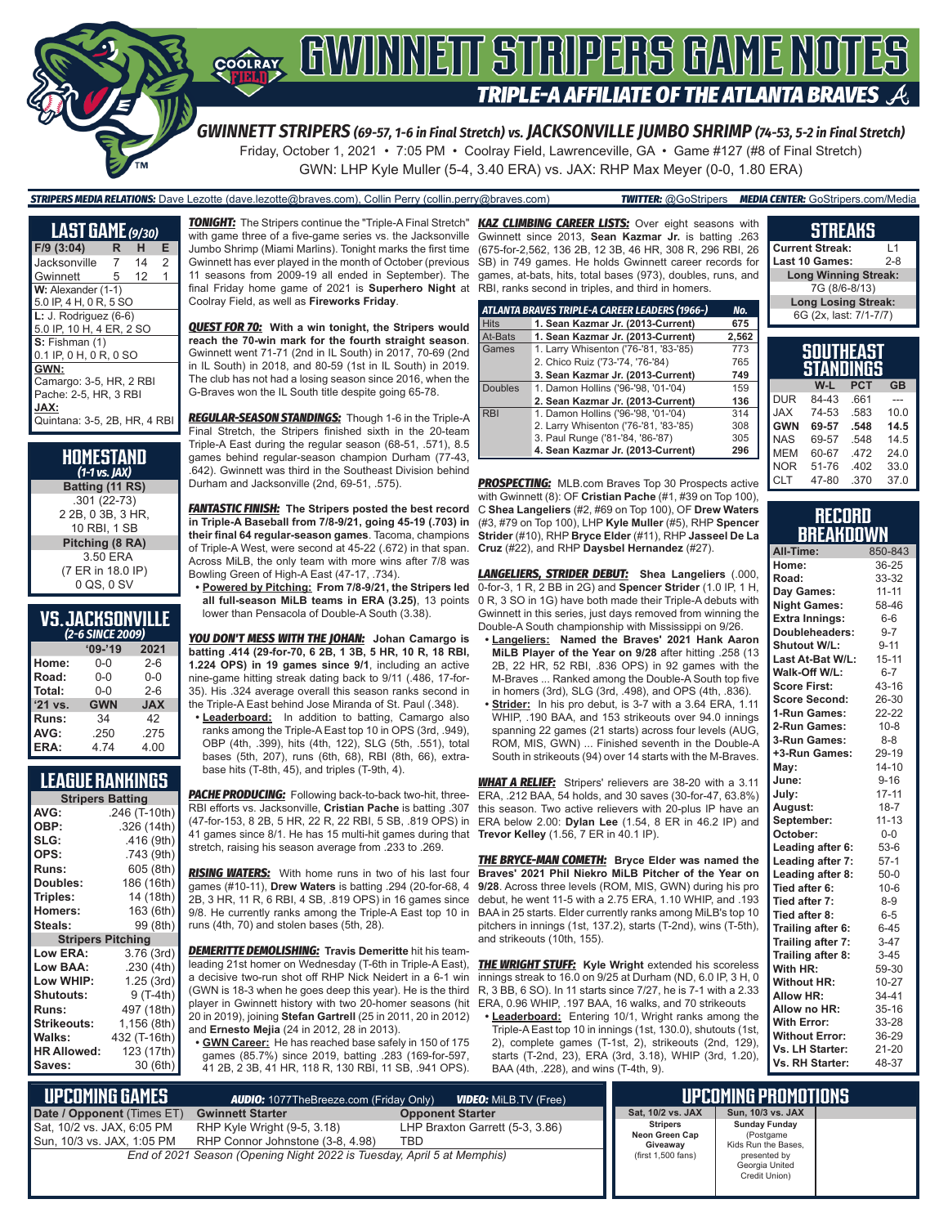

*GWINNETT STRIPERS (69-57, 1-6 in Final Stretch) vs. JACKSONVILLE JUMBO SHRIMP (74-53, 5-2 in Final Stretch)* Friday, October 1, 2021 • 7:05 PM • Coolray Field, Lawrenceville, GA • Game #127 (#8 of Final Stretch) GWN: LHP Kyle Muller (5-4, 3.40 ERA) vs. JAX: RHP Max Meyer (0-0, 1.80 ERA)

*STRIPERS MEDIA RELATIONS:* Dave Lezotte (dave.lezotte@braves.com), Collin Perry (collin.perry@braves.com) *TWITTER:* @GoStripers *MEDIA CENTER:* GoStripers.com/Media

| <b>LAST GAME</b> (9/30)      |   |    |                |  |  |  |
|------------------------------|---|----|----------------|--|--|--|
| $F/9$ (3:04)                 | R | н  | Е              |  |  |  |
| Jacksonville                 | 7 | 14 | $\mathfrak{p}$ |  |  |  |
| Gwinnett                     | 5 | 12 | 1              |  |  |  |
| W: Alexander (1-1)           |   |    |                |  |  |  |
| 5.0 IP, 4 H, 0 R, 5 SO       |   |    |                |  |  |  |
| $L: J.$ Rodriguez (6-6)      |   |    |                |  |  |  |
| 5.0 IP, 10 H, 4 ER, 2 SO     |   |    |                |  |  |  |
| S: Fishman (1)               |   |    |                |  |  |  |
| 0.1 IP, 0 H, 0 R, 0 SO       |   |    |                |  |  |  |
| GWN:                         |   |    |                |  |  |  |
| Camargo: 3-5, HR, 2 RBI      |   |    |                |  |  |  |
| Pache: 2-5, HR, 3 RBI        |   |    |                |  |  |  |
| JAX:                         |   |    |                |  |  |  |
| Quintana: 3-5, 2B, HR, 4 RBI |   |    |                |  |  |  |

| HOMESTAND<br>$(1-1)$ vs. $IAX$ ) |
|----------------------------------|
| Batting (11 RS)                  |
| .301 (22-73)                     |
| 2 2B, 0 3B, 3 HR,                |
| 10 RBI. 1 SB                     |
| Pitching (8 RA)                  |
| 3.50 ERA                         |
| (7 ER in 18.0 IP)                |
| 0 QS, 0 SV                       |

### **VS. JACKSONVILLE**

| (2-6 SINCE 2009) |            |            |  |  |  |  |
|------------------|------------|------------|--|--|--|--|
|                  | $09 - 19$  | 2021       |  |  |  |  |
| Home:            | 0-0        | $2 - 6$    |  |  |  |  |
| Road:            | $0 - 0$    | $0 - 0$    |  |  |  |  |
| Total:           | $0 - 0$    | $2 - 6$    |  |  |  |  |
| $'21$ vs.        | <b>GWN</b> | <b>JAX</b> |  |  |  |  |
| Runs:            | 34         | 42         |  |  |  |  |
| AVG:             | .250       | .275       |  |  |  |  |
| ERA:             | 4.74       | 4.00       |  |  |  |  |

### **LEAGUE RANKINGS**

| <b>Stripers Batting</b>  |               |  |  |  |  |  |
|--------------------------|---------------|--|--|--|--|--|
| AVG:                     | .246 (T-10th) |  |  |  |  |  |
| OBP:                     | .326 (14th)   |  |  |  |  |  |
| SLG:                     | .416 (9th)    |  |  |  |  |  |
| OPS:                     | .743 (9th)    |  |  |  |  |  |
| <b>Runs:</b>             | 605 (8th)     |  |  |  |  |  |
| Doubles:                 | 186 (16th)    |  |  |  |  |  |
| Triples:                 | 14 (18th)     |  |  |  |  |  |
| <b>Homers:</b>           | 163 (6th)     |  |  |  |  |  |
| Steals:                  | 99 (8th)      |  |  |  |  |  |
|                          |               |  |  |  |  |  |
| <b>Stripers Pitching</b> |               |  |  |  |  |  |
| <b>Low ERA:</b>          | 3.76(3rd)     |  |  |  |  |  |
| <b>Low BAA:</b>          | .230(4th)     |  |  |  |  |  |
| Low WHIP:                | 1.25 (3rd)    |  |  |  |  |  |
| <b>Shutouts:</b>         | 9 (T-4th)     |  |  |  |  |  |
| <b>Runs:</b>             | 497 (18th)    |  |  |  |  |  |
| Strikeouts:              | 1,156 (8th)   |  |  |  |  |  |
| Walks:                   | 432 (T-16th)  |  |  |  |  |  |
| <b>HR Allowed:</b>       | 123 (17th)    |  |  |  |  |  |

*TONIGHT:* The Stripers continue the "Triple-A Final Stretch" *KAZ CLIMBING CAREER LISTS:* Over eight seasons with with game three of a five-game series vs. the Jacksonville Jumbo Shrimp (Miami Marlins). Tonight marks the first time Gwinnett has ever played in the month of October (previous 11 seasons from 2009-19 all ended in September). The final Friday home game of 2021 is **Superhero Night** at Coolray Field, as well as **Fireworks Friday**.

*QUEST FOR 70:* **With a win tonight, the Stripers would reach the 70-win mark for the fourth straight season**. Gwinnett went 71-71 (2nd in IL South) in 2017, 70-69 (2nd in IL South) in 2018, and 80-59 (1st in IL South) in 2019. The club has not had a losing season since 2016, when the G-Braves won the IL South title despite going 65-78.

*REGULAR-SEASON STANDINGS:* Though 1-6 in the Triple-A Final Stretch, the Stripers finished sixth in the 20-team Triple-A East during the regular season (68-51, .571), 8.5 games behind regular-season champion Durham (77-43, .642). Gwinnett was third in the Southeast Division behind Durham and Jacksonville (2nd, 69-51, .575).

*FANTASTIC FINISH:* **The Stripers posted the best record in Triple-A Baseball from 7/8-9/21, going 45-19 (.703) in their final 64 regular-season games**. Tacoma, champions of Triple-A West, were second at 45-22 (.672) in that span. Across MiLB, the only team with more wins after 7/8 was Bowling Green of High-A East (47-17, .734).

**• Powered by Pitching: From 7/8-9/21, the Stripers led all full-season MiLB teams in ERA (3.25)**, 13 points

lower than Pensacola of Double-A South (3.38).

*YOU DON'T MESS WITH THE JOHAN:* **Johan Camargo is batting .414 (29-for-70, 6 2B, 1 3B, 5 HR, 10 R, 18 RBI, 1.224 OPS) in 19 games since 9/1**, including an active nine-game hitting streak dating back to 9/11 (.486, 17-for-35). His .324 average overall this season ranks second in the Triple-A Fast behind Jose Miranda of St. Paul (.348).

**• Leaderboard:** In addition to batting, Camargo also ranks among the Triple-A East top 10 in OPS (3rd, .949), OBP (4th, .399), hits (4th, 122), SLG (5th, .551), total bases (5th, 207), runs (6th, 68), RBI (8th, 66), extrabase hits (T-8th, 45), and triples (T-9th, 4).

*PACHE PRODUCING:* Following back-to-back two-hit, three-RBI efforts vs. Jacksonville, **Cristian Pache** is batting .307 (47-for-153, 8 2B, 5 HR, 22 R, 22 RBI, 5 SB, .819 OPS) in 41 games since 8/1. He has 15 multi-hit games during that stretch, raising his season average from .233 to .269.

**RISING WATERS:** With home runs in two of his last four games (#10-11), **Drew Waters** is batting .294 (20-for-68, 4 2B, 3 HR, 11 R, 6 RBI, 4 SB, .819 OPS) in 16 games since 9/8. He currently ranks among the Triple-A East top 10 in BAA in 25 starts. Elder currently ranks among MiLB's top 10 runs (4th, 70) and stolen bases (5th, 28).

*DEMERITTE DEMOLISHING:* **Travis Demeritte** hit his teamleading 21st homer on Wednesday (T-6th in Triple-A East), a decisive two-run shot off RHP Nick Neidert in a 6-1 win (GWN is 18-3 when he goes deep this year). He is the third player in Gwinnett history with two 20-homer seasons (hit 20 in 2019), joining **Stefan Gartrell** (25 in 2011, 20 in 2012) and **Ernesto Mejia** (24 in 2012, 28 in 2013).

**• GWN Career:** He has reached base safely in 150 of 175 games (85.7%) since 2019, batting .283 (169-for-597, 41 2B, 2 3B, 41 HR, 118 R, 130 RBI, 11 SB, .941 OPS).

Gwinnett since 2013, **Sean Kazmar Jr.** is batting .263 (675-for-2,562, 136 2B, 12 3B, 46 HR, 308 R, 296 RBI, 26 SB) in 749 games. He holds Gwinnett career records for games, at-bats, hits, total bases (973), doubles, runs, and RBI, ranks second in triples, and third in homers.

|                | ATLANTA BRAVES TRIPLE-A CAREER LEADERS (1966-) | No.   |
|----------------|------------------------------------------------|-------|
| <b>Hits</b>    | 1. Sean Kazmar Jr. (2013-Current)              | 675   |
| At-Bats        | 1. Sean Kazmar Jr. (2013-Current)              | 2,562 |
| Games          | 1. Larry Whisenton ('76-'81, '83-'85)          | 773   |
|                | 2. Chico Ruiz ('73-'74, '76-'84)               | 765   |
|                | 3. Sean Kazmar Jr. (2013-Current)              | 749   |
| <b>Doubles</b> | 1. Damon Hollins ('96-'98, '01-'04)            | 159   |
|                | 2. Sean Kazmar Jr. (2013-Current)              | 136   |
| <b>RBI</b>     | 1. Damon Hollins ('96-'98, '01-'04)            | 314   |
|                | 2. Larry Whisenton ('76-'81, '83-'85)          | 308   |
|                | 3. Paul Runge ('81-'84, '86-'87)               | 305   |
|                | 4. Sean Kazmar Jr. (2013-Current)              | 296   |

**PROSPECTING:** MLB.com Braves Top 30 Prospects active with Gwinnett (8): OF **Cristian Pache** (#1, #39 on Top 100), C **Shea Langeliers** (#2, #69 on Top 100), OF **Drew Waters** (#3, #79 on Top 100), LHP **Kyle Muller** (#5), RHP **Spencer Strider** (#10), RHP **Bryce Elder** (#11), RHP **Jasseel De La Cruz** (#22), and RHP **Daysbel Hernandez** (#27).

*LANGELIERS, STRIDER DEBUT:* **Shea Langeliers** (.000, 0-for-3, 1 R, 2 BB in 2G) and **Spencer Strider** (1.0 IP, 1 H, 0 R, 3 SO in 1G) have both made their Triple-A debuts with Gwinnett in this series, just days removed from winning the Double-A South championship with Mississippi on 9/26.

- **• Langeliers: Named the Braves' 2021 Hank Aaron MiLB Player of the Year on 9/28** after hitting .258 (13 2B, 22 HR, 52 RBI, .836 OPS) in 92 games with the M-Braves ... Ranked among the Double-A South top five in homers (3rd), SLG (3rd, .498), and OPS (4th, .836).
- **• Strider:** In his pro debut, is 3-7 with a 3.64 ERA, 1.11 WHIP, .190 BAA, and 153 strikeouts over 94.0 innings spanning 22 games (21 starts) across four levels (AUG, ROM, MIS, GWN) ... Finished seventh in the Double-A South in strikeouts (94) over 14 starts with the M-Braves.

*WHAT A RELIEF:* Stripers' relievers are 38-20 with a 3.11 ERA, .212 BAA, 54 holds, and 30 saves (30-for-47, 63.8%) this season. Two active relievers with 20-plus IP have an ERA below 2.00: **Dylan Lee** (1.54, 8 ER in 46.2 IP) and **Trevor Kelley** (1.56, 7 ER in 40.1 IP).

*THE BRYCE-MAN COMETH:* **Bryce Elder was named the Braves' 2021 Phil Niekro MiLB Pitcher of the Year on 9/28**. Across three levels (ROM, MIS, GWN) during his pro debut, he went 11-5 with a 2.75 ERA, 1.10 WHIP, and .193 pitchers in innings (1st, 137.2), starts (T-2nd), wins (T-5th), and strikeouts (10th, 155).

*THE WRIGHT STUFF:* **Kyle Wright** extended his scoreless innings streak to 16.0 on 9/25 at Durham (ND, 6.0 IP, 3 H, 0 R, 3 BB, 6 SO). In 11 starts since 7/27, he is 7-1 with a 2.33 ERA, 0.96 WHIP, .197 BAA, 16 walks, and 70 strikeouts

**• Leaderboard:** Entering 10/1, Wright ranks among the Triple-A East top 10 in innings (1st, 130.0), shutouts (1st, 2), complete games (T-1st, 2), strikeouts (2nd, 129), starts (T-2nd, 23), ERA (3rd, 3.18), WHIP (3rd, 1.20), BAA (4th, .228), and wins (T-4th, 9).

#### **SOUTHEAST STANDINGS W-L PCT GB**  $DIIR$  84-43 JAX 74-53 .583 10.0 **Current Streak:** L1 Last 10 Games: **Long Winning Streak:** 7G (8/6-8/13) **Long Losing Streak:** 6G (2x, last: 7/1-7/7)

**STREAKS**

| <b>JAX</b> | 74-53 | .583 | 10.0 |
|------------|-------|------|------|
| <b>GWN</b> | 69-57 | .548 | 14.5 |
| <b>NAS</b> | 69-57 | .548 | 14.5 |
| MEM        | 60-67 | .472 | 24.0 |
| <b>NOR</b> | 51-76 | .402 | 33.0 |
| <b>CLT</b> | 47-80 | .370 | 37.0 |
|            |       |      |      |

#### **RECORD BREAKDOWN**

| All-Time:             | 850-843   |
|-----------------------|-----------|
| Home:                 | 36-25     |
| Road:                 | 33-32     |
| Day Games:            | $11 - 11$ |
| <b>Night Games:</b>   | 58-46     |
| <b>Extra Innings:</b> | $6-6$     |
| Doubleheaders:        | $9 - 7$   |
| Shutout W/L:          | $9 - 11$  |
| Last At-Bat W/L:      | $15 - 11$ |
| Walk-Off W/L:         | $6 - 7$   |
| <b>Score First:</b>   | $43 - 16$ |
| <b>Score Second:</b>  | 26-30     |
| 1-Run Games:          | 22-22     |
| 2-Run Games:          | $10 - 8$  |
| 3-Run Games:          | $8 - 8$   |
| +3-Run Games:         | 29-19     |
| Mav:                  | $14 - 10$ |
| June:                 | $9 - 16$  |
| July:                 | $17 - 11$ |
| August:               | $18 - 7$  |
| September:            | $11 - 13$ |
| October:              | $0-0$     |
| Leading after 6:      | 53-6      |
| Leading after 7:      | $57-1$    |
| Leading after 8:      | $50-0$    |
| Tied after 6:         | $10-6$    |
| Tied after 7:         | $8 - 9$   |
| Tied after 8:         | $6-5$     |
| Trailing after 6:     | $6 - 45$  |
| Trailing after 7:     | $3 - 47$  |
| Trailing after 8:     | $3 - 45$  |
| With HR:              | 59-30     |
| <b>Without HR:</b>    | $10 - 27$ |
| <b>Allow HR:</b>      | 34-41     |
| Allow no HR:          | 35-16     |
| <b>With Error:</b>    | 33-28     |
| <b>Without Error:</b> | 36-29     |
| Vs. LH Starter:       | $21 - 20$ |
| Vs. RH Starter:       | 48-37     |

| . UPCOMING GAMES '                                       | <b>AUDIO:</b> 1077TheBreeze.com (Friday Only)                          | <b><i>VIDEO: MiLB.TV (Free)</i></b>    |                                               | <b>UPCOMING PROMOTIONS</b>                                |  |
|----------------------------------------------------------|------------------------------------------------------------------------|----------------------------------------|-----------------------------------------------|-----------------------------------------------------------|--|
| Date / Opponent (Times ET)                               | <b>Gwinnett Starter</b>                                                | <b>Opponent Starter</b>                | Sat, 10/2 vs. JAX                             | Sun, 10/3 vs. JAX                                         |  |
| Sat, 10/2 vs. JAX, 6:05 PM<br>Sun, 10/3 vs. JAX, 1:05 PM | RHP Kyle Wright (9-5, 3.18)<br>RHP Connor Johnstone (3-8, 4.98)        | LHP Braxton Garrett (5-3, 3.86)<br>TBD | <b>Stripers</b><br>Neon Green Cap<br>Giveawav | <b>Sunday Funday</b><br>(Postgame)<br>Kids Run the Bases. |  |
|                                                          | End of 2021 Season (Opening Night 2022 is Tuesday, April 5 at Memphis) |                                        | (first 1,500 fans)                            | presented by<br>Georgia United<br>Credit Union)           |  |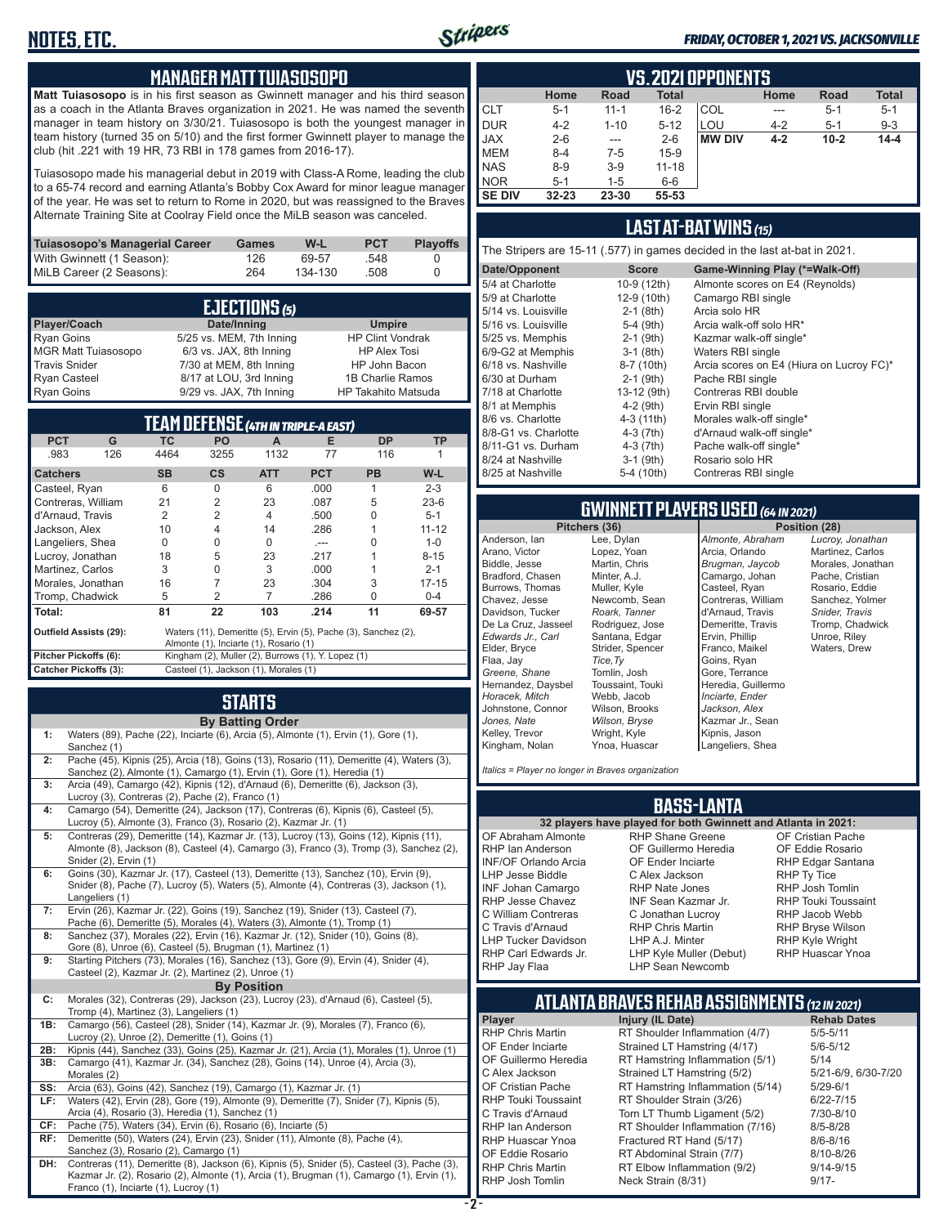### **MANAGER MATT TUIASOSOPO**

**Matt Tuiasosopo** is in his first season as Gwinnett manager and his third season as a coach in the Atlanta Braves organization in 2021. He was named the seventh manager in team history on 3/30/21. Tuiasosopo is both the youngest manager in team history (turned 35 on 5/10) and the first former Gwinnett player to manage the club (hit .221 with 19 HR, 73 RBI in 178 games from 2016-17).

Tuiasosopo made his managerial debut in 2019 with Class-A Rome, leading the club to a 65-74 record and earning Atlanta's Bobby Cox Award for minor league manager of the year. He was set to return to Rome in 2020, but was reassigned to the Braves Alternate Training Site at Coolray Field once the MiLB season was canceled.

| Tuiasosopo's Managerial Career | <b>Games</b> | W-L     | <b>PCT</b> | <b>Plavoffs</b> |
|--------------------------------|--------------|---------|------------|-----------------|
| With Gwinnett (1 Season):      | 126          | 69-57   | .548       |                 |
| MiLB Career (2 Seasons):       | 264          | 134-130 | .508       |                 |

| EJECTIONS (5)              |                          |                            |  |  |  |  |  |
|----------------------------|--------------------------|----------------------------|--|--|--|--|--|
| Player/Coach               | Date/Inning              | <b>Umpire</b>              |  |  |  |  |  |
| <b>Ryan Goins</b>          | 5/25 vs. MEM, 7th Inning | <b>HP Clint Vondrak</b>    |  |  |  |  |  |
| <b>MGR Matt Tuiasosopo</b> | 6/3 vs. JAX, 8th Inning  | <b>HP Alex Tosi</b>        |  |  |  |  |  |
| <b>Travis Snider</b>       | 7/30 at MEM, 8th Inning  | HP John Bacon              |  |  |  |  |  |
| <b>Ryan Casteel</b>        | 8/17 at LOU, 3rd Inning  | 1B Charlie Ramos           |  |  |  |  |  |
| <b>Ryan Goins</b>          | 9/29 vs. JAX, 7th Inning | <b>HP Takahito Matsuda</b> |  |  |  |  |  |

|                              |     |           |               | TEAM DEFENSE (4TH IN TRIPLE-A EAST)                |            |                                                                |           | 8/6 vs. Charlotte<br>8/8-G1 vs. Charlotte                | $4-3(11th)$<br>4-3 (7th)                              | Morales walk-off sinc<br>d'Arnaud walk-off sin        |
|------------------------------|-----|-----------|---------------|----------------------------------------------------|------------|----------------------------------------------------------------|-----------|----------------------------------------------------------|-------------------------------------------------------|-------------------------------------------------------|
| <b>PCT</b>                   | G   | TC.       | PO.           | A                                                  | Е          | <b>DP</b>                                                      | <b>TP</b> | 8/11-G1 vs. Durham                                       | 4-3 (7th)                                             | Pache walk-off single                                 |
| .983                         | 126 | 4464      | 3255          | 1132                                               | 77         | 116                                                            |           | 8/24 at Nashville                                        | $3-1$ (9th)                                           | Rosario solo HR                                       |
| <b>Catchers</b>              |     | <b>SB</b> | $\mathsf{cs}$ | <b>ATT</b>                                         | <b>PCT</b> | <b>PB</b>                                                      | $W-L$     | 8/25 at Nashville                                        | 5-4 (10th)                                            | Contreras RBI single                                  |
| Casteel, Ryan                |     | 6         | $\Omega$      | 6                                                  | .000       |                                                                | $2 - 3$   |                                                          |                                                       |                                                       |
| Contreras, William           |     | 21        |               | 23                                                 | .087       | 5                                                              | $23-6$    |                                                          |                                                       |                                                       |
| d'Arnaud, Travis             |     |           |               | 4                                                  | .500       | 0                                                              | $5 - 1$   |                                                          |                                                       | <b>GWINNETT PLAYERS USED (64 IN 2</b>                 |
| Jackson, Alex                |     | 10        |               | 14                                                 | .286       |                                                                | $11 - 12$ |                                                          | Pitchers (36)                                         | Pos                                                   |
| Langeliers, Shea             |     | $\Omega$  |               | 0                                                  | $- - -$    |                                                                | $1 - 0$   | Anderson, lan                                            | Lee, Dylan                                            | Almonte, Abraham                                      |
| Lucroy, Jonathan             |     | 18        | 5             | 23                                                 | .217       |                                                                | $8 - 15$  | Arano, Victor                                            | Lopez, Yoan                                           | Arcia, Orlando                                        |
| Martinez, Carlos             |     | 3         |               | 3                                                  | .000       |                                                                | $2 - 1$   | Biddle, Jesse                                            | Martin, Chris                                         | Brugman, Jaycob                                       |
| Morales, Jonathan            |     | 16        |               | 23                                                 | .304       |                                                                | $17 - 15$ | Bradford, Chasen                                         | Minter, A.J.                                          | Camargo, Johan                                        |
| Tromp, Chadwick              |     | 5         |               |                                                    | .286       | $\Omega$                                                       | $0 - 4$   | Burrows, Thomas<br>Chavez, Jesse                         | Muller, Kyle<br>Newcomb, Sean                         | Casteel, Ryan<br>Contreras, William                   |
| Total:                       |     | 81        | 22            | 103                                                | .214       | 11                                                             | 69-57     | Davidson, Tucker                                         | Roark, Tanner                                         | d'Arnaud, Travis                                      |
| Outfield Assists (29):       |     |           |               | Almonte (1), Inciarte (1), Rosario (1)             |            | Waters (11), Demeritte (5), Ervin (5), Pache (3), Sanchez (2), |           | De La Cruz, Jasseel<br>Edwards Jr., Carl<br>Elder, Bryce | Rodriguez, Jose<br>Santana, Edgar<br>Strider, Spencer | Demeritte, Travis<br>Ervin, Phillip<br>Franco, Maikel |
| Pitcher Pickoffs (6):        |     |           |               | Kingham (2), Muller (2), Burrows (1), Y. Lopez (1) |            |                                                                |           | Flaa, Jay                                                | Tice, Ty                                              | Goins, Ryan                                           |
| <b>Catcher Pickoffs (3):</b> |     |           |               | Casteel (1), Jackson (1), Morales (1)              |            |                                                                |           | Greene, Shane                                            | Tomlin, Josh                                          | Gore, Terrance                                        |
|                              |     |           |               |                                                    |            |                                                                |           |                                                          |                                                       |                                                       |

### **STARTS**

| By Batting Orde |  |
|-----------------|--|

|     | <b>By Batting Order</b>                                                                     |
|-----|---------------------------------------------------------------------------------------------|
| 1:  | Waters (89), Pache (22), Inciarte (6), Arcia (5), Almonte (1), Ervin (1), Gore (1),         |
|     | Sanchez (1)                                                                                 |
| 2:  | Pache (45), Kipnis (25), Arcia (18), Goins (13), Rosario (11), Demeritte (4), Waters (3),   |
|     | Sanchez (2), Almonte (1), Camargo (1), Ervin (1), Gore (1), Heredia (1)                     |
| 3:  | Arcia (49), Camargo (42), Kipnis (12), d'Arnaud (6), Demeritte (6), Jackson (3),            |
|     | Lucroy (3), Contreras (2), Pache (2), Franco (1)                                            |
| 4:  | Camargo (54), Demeritte (24), Jackson (17), Contreras (6), Kipnis (6), Casteel (5),         |
|     | Lucroy (5), Almonte (3), Franco (3), Rosario (2), Kazmar Jr. (1)                            |
| 5:  | Contreras (29), Demeritte (14), Kazmar Jr. (13), Lucroy (13), Goins (12), Kipnis (11),      |
|     | Almonte (8), Jackson (8), Casteel (4), Camargo (3), Franco (3), Tromp (3), Sanchez (2),     |
|     | Snider (2), Ervin (1)                                                                       |
| 6:  | Goins (30), Kazmar Jr. (17), Casteel (13), Demeritte (13), Sanchez (10), Ervin (9),         |
|     | Snider (8), Pache (7), Lucroy (5), Waters (5), Almonte (4), Contreras (3), Jackson (1),     |
|     | Langeliers (1)                                                                              |
| 7:  | Ervin (26), Kazmar Jr. (22), Goins (19), Sanchez (19), Snider (13), Casteel (7),            |
|     | Pache (6), Demeritte (5), Morales (4), Waters (3), Almonte (1), Tromp (1)                   |
| 8:  | Sanchez (37), Morales (22), Ervin (16), Kazmar Jr. (12), Snider (10), Goins (8),            |
|     | Gore (8), Unroe (6), Casteel (5), Brugman (1), Martinez (1)                                 |
| 9:  | Starting Pitchers (73), Morales (16), Sanchez (13), Gore (9), Ervin (4), Snider (4),        |
|     | Casteel (2), Kazmar Jr. (2), Martinez (2), Unroe (1)                                        |
|     | <b>By Position</b>                                                                          |
| C:  | Morales (32), Contreras (29), Jackson (23), Lucroy (23), d'Arnaud (6), Casteel (5),         |
|     | Tromp (4), Martinez (3), Langeliers (1)                                                     |
| 1B: | Camargo (56), Casteel (28), Snider (14), Kazmar Jr. (9), Morales (7), Franco (6),           |
|     | Lucroy (2), Unroe (2), Demeritte (1), Goins (1)                                             |
| 2B: | Kipnis (44), Sanchez (33), Goins (25), Kazmar Jr. (21), Arcia (1), Morales (1), Unroe (1)   |
| 3B: | Camargo (41), Kazmar Jr. (34), Sanchez (28), Goins (14), Unroe (4), Arcia (3),              |
|     | Morales (2)                                                                                 |
| SS: | Arcia (63), Goins (42), Sanchez (19), Camargo (1), Kazmar Jr. (1)                           |
| LF: | Waters (42), Ervin (28), Gore (19), Almonte (9), Demeritte (7), Snider (7), Kipnis (5),     |
|     | Arcia (4), Rosario (3), Heredia (1), Sanchez (1)                                            |
| CF: | Pache (75), Waters (34), Ervin (6), Rosario (6), Inciarte (5)                               |
| RF: | Demeritte (50), Waters (24), Ervin (23), Snider (11), Almonte (8), Pache (4),               |
|     | Sanchez (3), Rosario (2), Camargo (1)                                                       |
| DH: | Contreras (11), Demeritte (8), Jackson (6), Kipnis (5), Snider (5), Casteel (3), Pache (3), |
|     | Kazmar Jr. (2), Rosario (2), Almonte (1), Arcia (1), Brugman (1), Camargo (1), Ervin (1),   |
|     | Franco (1), Inciarte (1), Lucroy (1)                                                        |

|  | <b>FRIDAY, OCTOBER 1, 2021 VS. JACKSONVILLE</b> |
|--|-------------------------------------------------|
|  |                                                 |

|                | <b>VS. 2021 OPPONENTS</b> |             |              |               |         |             |              |  |  |  |  |  |  |  |
|----------------|---------------------------|-------------|--------------|---------------|---------|-------------|--------------|--|--|--|--|--|--|--|
|                | Home                      | <b>Road</b> | <b>Total</b> |               | Home    | <b>Road</b> | <b>Total</b> |  |  |  |  |  |  |  |
| ICLT           | $5 - 1$                   | $11 - 1$    | $16 - 2$     | COL           | ---     | $5 - 1$     | $5 - 1$      |  |  |  |  |  |  |  |
| <b>DUR</b>     | $4 - 2$                   | $1 - 10$    | $5 - 12$     | LOU           | $4 - 2$ | $5 - 1$     | $9 - 3$      |  |  |  |  |  |  |  |
| <b>JAX</b>     | $2 - 6$                   | $- - -$     | $2 - 6$      | <b>MW DIV</b> | $4 - 2$ | $10 - 2$    | $14 - 4$     |  |  |  |  |  |  |  |
| <b>MEM</b>     | $8 - 4$                   | 7-5         | $15-9$       |               |         |             |              |  |  |  |  |  |  |  |
| <b>NAS</b>     | $8 - 9$                   | $3-9$       | $11 - 18$    |               |         |             |              |  |  |  |  |  |  |  |
| <b>INOR</b>    | $5 - 1$                   | $1 - 5$     | $6-6$        |               |         |             |              |  |  |  |  |  |  |  |
| <b>ISE DIV</b> | $32 - 23$                 | 23-30       | 55-53        |               |         |             |              |  |  |  |  |  |  |  |

### **LAST AT-BAT WINS** *(15)*

The Stripers are 15-11 (.577) in games decided in the last at-bat in 2021.

| Date/Opponent        | <b>Score</b> | Game-Winning Play (*=Walk-Off)           |
|----------------------|--------------|------------------------------------------|
| 5/4 at Charlotte     | 10-9 (12th)  | Almonte scores on E4 (Reynolds)          |
| 5/9 at Charlotte     | 12-9 (10th)  | Camargo RBI single                       |
| 5/14 vs. Louisville  | $2-1$ (8th)  | Arcia solo HR                            |
| 5/16 vs. Louisville  | $5-4$ (9th)  | Arcia walk-off solo HR*                  |
| 5/25 vs. Memphis     | $2-1$ (9th)  | Kazmar walk-off single*                  |
| 6/9-G2 at Memphis    | $3-1$ (8th)  | Waters RBI single                        |
| 6/18 vs. Nashville   | 8-7 (10th)   | Arcia scores on E4 (Hiura on Lucroy FC)* |
| 6/30 at Durham       | $2-1$ (9th)  | Pache RBI single                         |
| 7/18 at Charlotte    | 13-12 (9th)  | Contreras RBI double                     |
| 8/1 at Memphis       | $4-2$ (9th)  | Ervin RBI single                         |
| 8/6 vs. Charlotte    | 4-3 (11th)   | Morales walk-off single*                 |
| 8/8-G1 vs. Charlotte | $4-3(7th)$   | d'Arnaud walk-off single*                |
| 8/11-G1 vs. Durham   | $4-3(7th)$   | Pache walk-off single*                   |
| 8/24 at Nashville    | $3-1$ (9th)  | Rosario solo HR                          |
| 8/25 at Nashville    | 5-4 (10th)   | Contreras RBI single                     |
|                      |              |                                          |

# **GWINNETT PLAYERS USED** *(64 IN 2021)*

Anderson, Ian Arano, Victor Biddle, Jesse Bradford, Chasen Burrows, Thomas Chavez, Jesse Davidson, Tucker De La Cruz, Jasseel *Edwards Jr., Carl* Elder, Bryce Flaa, Jay *Greene, Shane*  Hernandez, Daysbel *Horacek, Mitch* Johnstone, Connor *Jones, Nate* Kelley, Trevor Kingham, Nolan Lee, Dylan Lopez, Yoan Martin, Chris Minter, A.J. Muller, Kyle *Roark, Tanner* Rodriguez, Jose Santana, Edgar Strider, Spencer *Tice,Ty* Tomlin, Josh Toussaint, Touki Webb, Jacob Wilson, Brooks *Wilson, Bryse* Wright, Kyle Ynoa, Huascar

Stripers

Newcomb, Sean *Almonte, Abraham* Arcia, Orlando *Brugman, Jaycob* Camargo, Johan Casteel, Ryan Contreras, William d'Arnaud, Travis Demeritte, Travis Ervin, Phillip Franco, Maikel Goins, Ryan Gore, Terrance Heredia, Guillermo *Inciarte, Ender Jackson, Alex* Kazmar Jr., Sean Kipnis, Jason Langeliers, Shea

**Position (28)** *Lucroy, Jonathan* Martinez, Carlos Morales, Jonathan Pache, Cristian Rosario, Eddie Sanchez, Yolmer *Snider, Travis* Tromp, Chadwick Unroe, Riley Waters, Drew

*Italics = Player no longer in Braves organization*

### **BASS-LANTA**

OF Abraham Almonte RHP Ian Anderson INF/OF Orlando Arcia LHP Jesse Biddle INF Johan Camargo RHP Jesse Chavez C William Contreras C Travis d'Arnaud LHP Tucker Davidson RHP Carl Edwards Jr. RHP Jay Flaa

**32 players have played for both Gwinnett and Atlanta in 2021:** RHP Shane Greene OF Guillermo Heredia OF Ender Inciarte C Alex Jackson RHP Nate Jones INF Sean Kazmar Jr. C Jonathan Lucroy RHP Chris Martin LHP A.J. Minter LHP Kyle Muller (Debut) LHP Sean Newcomb

OF Cristian Pache OF Eddie Rosario RHP Edgar Santana RHP Ty Tice RHP Josh Tomlin RHP Touki Toussaint RHP Jacob Webb RHP Bryse Wilson RHP Kyle Wright RHP Huascar Ynoa

# **ATLANTA BRAVES REHAB ASSIGNMENTS** *(12 IN 2021)*

**Player Injury (IL Date)** RHP Chris Martin RT Shoulder Inflammation (4/7) 5/5-5/11<br>OF Ender Inciarte Strained LT Hamstring (4/17) 5/6-5/12 OF Ender Inciarte Strained LT Hamstring (4/17) 5/6-5<br>OF Guillermo Heredia RT Hamstring Inflammation (5/1) 5/14 RT Hamstring Inflammation (5/1) 5/14<br>Strained LT Hamstring (5/2) 5/21-6/9, 6/30-7/20 C Alex Jackson Strained LT Hamstring (5/2) 5/21-6/9<br>OF Cristian Pache RT Hamstring Inflammation (5/14) 5/29-6/1 OF Cristian Pache RT Hamstring Inflammation (5/14) 5/29-6/1<br>RHP Touki Toussaint RT Shoulder Strain (3/26) 6/22-7/15 RHP Touki Toussaint RT Shoulder Strain (3/26) 6/22-7/15<br>C Travis d'Arnaud Torn LT Thumb Ligament (5/2) 7/30-8/10 Torn LT Thumb Ligament (5/2) RHP Ian Anderson RT Shoulder Inflammation (7/16) 8/5-8/28<br>RHP Huascar Ynoa Fractured RT Hand (5/17) 8/6-8/16 RHP Huascar Ynoa Fractured RT Hand (5/17) 8/6-8/16<br>OF Eddie Rosario RT Abdominal Strain (7/7) 8/10-8/26 OF Eddie Rosario **RT Abdominal Strain (7/7)**<br>RHP Chris Martin **RT Flhow Inflammation (9** RHP Chris Martin RT Elbow Inflammation (9/2) 9/14-9/15 Neck Strain (8/31)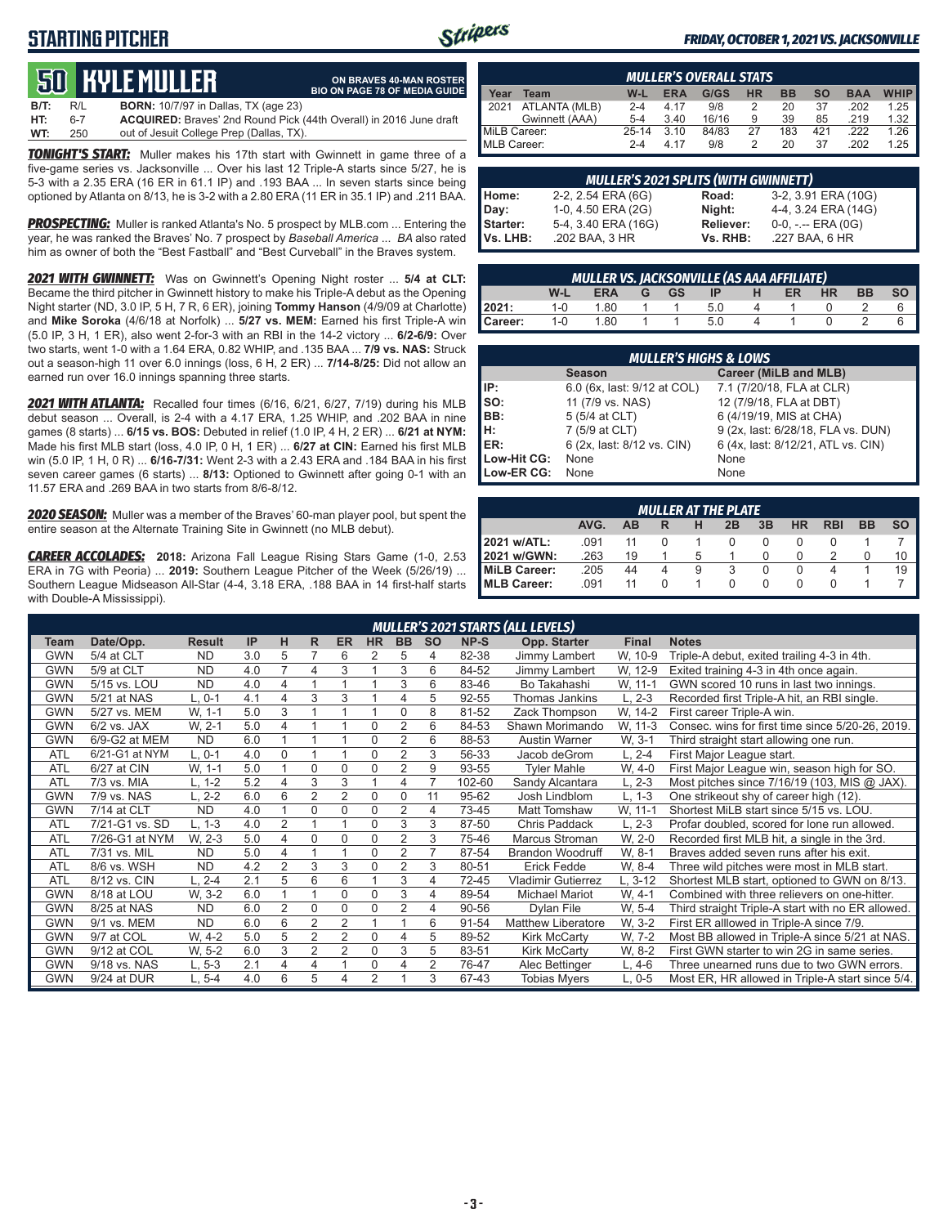## **STARTING PITCHER**



**ON BRAVES 40-MAN ROSTER BIO ON PAGE 78 OF MEDIA GUIDE**

#### *FRIDAY, OCTOBER 1, 2021 VS. JACKSONVILLE*

# **50****KYLE MULLER**

**B/T:** R/L **BORN:** 10/7/97 in Dallas, TX (age 23) **HT:** 6-7 **ACQUIRED:** Braves' 2nd Round Pick (44th Overall) in 2016 June draft out of Jesuit College Prep (Dallas, TX)

*TONIGHT'S START:* Muller makes his 17th start with Gwinnett in game three of a five-game series vs. Jacksonville ... Over his last 12 Triple-A starts since 5/27, he is 5-3 with a 2.35 ERA (16 ER in 61.1 IP) and .193 BAA ... In seven starts since being optioned by Atlanta on 8/13, he is 3-2 with a 2.80 ERA (11 ER in 35.1 IP) and .211 BAA.

*PROSPECTING:* Muller is ranked Atlanta's No. 5 prospect by MLB.com ... Entering the year, he was ranked the Braves' No. 7 prospect by *Baseball America* ... *BA* also rated him as owner of both the "Best Fastball" and "Best Curveball" in the Braves system.

*2021 WITH GWINNETT:* Was on Gwinnett's Opening Night roster ... **5/4 at CLT:** Became the third pitcher in Gwinnett history to make his Triple-A debut as the Opening Night starter (ND, 3.0 IP, 5 H, 7 R, 6 ER), joining **Tommy Hanson** (4/9/09 at Charlotte) and **Mike Soroka** (4/6/18 at Norfolk) ... **5/27 vs. MEM:** Earned his first Triple-A win (5.0 IP, 3 H, 1 ER), also went 2-for-3 with an RBI in the 14-2 victory ... **6/2-6/9:** Over two starts, went 1-0 with a 1.64 ERA, 0.82 WHIP, and .135 BAA ... **7/9 vs. NAS:** Struck out a season-high 11 over 6.0 innings (loss, 6 H, 2 ER) ... **7/14-8/25:** Did not allow an earned run over 16.0 innings spanning three starts.

*2021 WITH ATLANTA:* Recalled four times (6/16, 6/21, 6/27, 7/19) during his MLB debut season ... Overall, is 2-4 with a 4.17 ERA, 1.25 WHIP, and .202 BAA in nine games (8 starts) ... **6/15 vs. BOS:** Debuted in relief (1.0 IP, 4 H, 2 ER) ... **6/21 at NYM:** Made his first MLB start (loss, 4.0 IP, 0 H, 1 ER) ... **6/27 at CIN:** Earned his first MLB win (5.0 IP, 1 H, 0 R) ... **6/16-7/31:** Went 2-3 with a 2.43 ERA and .184 BAA in his first seven career games (6 starts) ... **8/13:** Optioned to Gwinnett after going 0-1 with an 11.57 ERA and .269 BAA in two starts from 8/6-8/12.

*2020 SEASON:* Muller was a member of the Braves' 60-man player pool, but spent the entire season at the Alternate Training Site in Gwinnett (no MLB debut).

*CAREER ACCOLADES:* **2018:** Arizona Fall League Rising Stars Game (1-0, 2.53 ERA in 7G with Peoria) ... **2019:** Southern League Pitcher of the Week (5/26/19) ... Southern League Midseason All-Star (4-4, 3.18 ERA, .188 BAA in 14 first-half starts with Double-A Mississippi).

| <b>MULLER'S OVERALL STATS</b> |                |         |            |       |           |           |           |            |             |  |  |  |
|-------------------------------|----------------|---------|------------|-------|-----------|-----------|-----------|------------|-------------|--|--|--|
| Year                          | <b>Team</b>    | $W-L$   | <b>ERA</b> | G/GS  | <b>HR</b> | <b>BB</b> | <b>SO</b> | <b>BAA</b> | <b>WHIP</b> |  |  |  |
| 12021                         | ATLANTA (MLB)  | $2 - 4$ | 4 17       | 9/8   |           | 20        | 37        | .202       | 1.25        |  |  |  |
|                               | Gwinnett (AAA) | $5 - 4$ | 3.40       | 16/16 | 9         | 39        | 85        | .219       | 1.32        |  |  |  |
| MiLB Career:                  |                | 25-14   | 3.10       | 84/83 | 27        | 183       | 421       | .222       | 1.26        |  |  |  |
| MLB Career:                   |                | $2 - 4$ | 4 17       | 9/8   |           | 20        | 37        | .202       | 1.25        |  |  |  |

| <b>MULLER'S 2021 SPLITS (WITH GWINNETT)</b> |                     |           |                       |  |  |  |  |  |  |  |
|---------------------------------------------|---------------------|-----------|-----------------------|--|--|--|--|--|--|--|
| Home:                                       | 2-2, 2.54 ERA (6G)  | Road:     | 3-2, 3.91 ERA (10G)   |  |  |  |  |  |  |  |
| Day:                                        | 1-0, 4.50 ERA (2G)  | Night:    | 4-4, 3.24 ERA (14G)   |  |  |  |  |  |  |  |
| Starter:                                    | 5-4, 3.40 ERA (16G) | Reliever: | $0-0, - -$ ERA $(0G)$ |  |  |  |  |  |  |  |
| Vs. LHB:                                    | .202 BAA, 3 HR      | Vs. RHB:  | .227 BAA, 6 HR        |  |  |  |  |  |  |  |

| <b>MULLER VS. JACKSONVILLE (AS AAA AFFILIATE)</b> |                                                                                |      |  |  |  |  |  |  |  |  |  |  |  |
|---------------------------------------------------|--------------------------------------------------------------------------------|------|--|--|--|--|--|--|--|--|--|--|--|
|                                                   | <b>HR</b><br>$W-I$<br><b>BB</b><br><b>GS</b><br><b>ER</b><br>-IP<br><b>ERA</b> |      |  |  |  |  |  |  |  |  |  |  |  |
| 2021:                                             | $1 - 0$                                                                        | 1.80 |  |  |  |  |  |  |  |  |  |  |  |
| Career:                                           | 1-0                                                                            | 1.80 |  |  |  |  |  |  |  |  |  |  |  |

|                                                                                                                                                                                                                                                                                                                                                   | <b>MULLER'S HIGHS &amp; LOWS</b> |                                    |  |  |  |  |  |  |  |  |  |
|---------------------------------------------------------------------------------------------------------------------------------------------------------------------------------------------------------------------------------------------------------------------------------------------------------------------------------------------------|----------------------------------|------------------------------------|--|--|--|--|--|--|--|--|--|
|                                                                                                                                                                                                                                                                                                                                                   | <b>Season</b>                    | Career (MiLB and MLB)              |  |  |  |  |  |  |  |  |  |
| $\mathsf{IP}:$                                                                                                                                                                                                                                                                                                                                    | 6.0 (6x, last: 9/12 at COL)      | 7.1 (7/20/18, FLA at CLR)          |  |  |  |  |  |  |  |  |  |
| $\begin{bmatrix} 1 & 1 \\ 1 & 1 \\ 1 & 1 \\ 1 & 1 \\ 1 & 1 \\ 1 & 1 \\ 1 & 1 \\ 1 & 1 \\ 1 & 1 \\ 1 & 1 \\ 1 & 1 \\ 1 & 1 \\ 1 & 1 \\ 1 & 1 \\ 1 & 1 \\ 1 & 1 \\ 1 & 1 \\ 1 & 1 \\ 1 & 1 \\ 1 & 1 \\ 1 & 1 \\ 1 & 1 \\ 1 & 1 \\ 1 & 1 \\ 1 & 1 \\ 1 & 1 \\ 1 & 1 \\ 1 & 1 \\ 1 & 1 \\ 1 & 1 \\ 1 & 1 \\ 1 & 1 \\ 1 & 1 \\ 1 & 1 \\ 1 & 1 \\ 1 & $ | 11 (7/9 vs. NAS)                 | 12 (7/9/18, FLA at DBT)            |  |  |  |  |  |  |  |  |  |
|                                                                                                                                                                                                                                                                                                                                                   | 5 (5/4 at CLT)                   | 6 (4/19/19, MIS at CHA)            |  |  |  |  |  |  |  |  |  |
|                                                                                                                                                                                                                                                                                                                                                   | 7 (5/9 at CLT)                   | 9 (2x, last: 6/28/18, FLA vs. DUN) |  |  |  |  |  |  |  |  |  |
|                                                                                                                                                                                                                                                                                                                                                   | 6 (2x, last: 8/12 vs. CIN)       | 6 (4x, last: 8/12/21, ATL vs. CIN) |  |  |  |  |  |  |  |  |  |
| Low-Hit CG:                                                                                                                                                                                                                                                                                                                                       | None                             | None                               |  |  |  |  |  |  |  |  |  |
| Low-ER CG:                                                                                                                                                                                                                                                                                                                                        | None                             | None                               |  |  |  |  |  |  |  |  |  |

|                                                                                | <b>MULLER AT THE PLATE</b> |    |   |   |  |  |  |  |  |    |  |  |  |  |  |
|--------------------------------------------------------------------------------|----------------------------|----|---|---|--|--|--|--|--|----|--|--|--|--|--|
| 3B<br><b>SO</b><br>AVG.<br>HR<br><b>RBI</b><br><b>BB</b><br>2B<br>ΔR<br>н<br>R |                            |    |   |   |  |  |  |  |  |    |  |  |  |  |  |
| 2021 w/ATL:                                                                    | .091                       | 11 |   |   |  |  |  |  |  |    |  |  |  |  |  |
| 2021 w/GWN:                                                                    | .263                       | 19 |   | 5 |  |  |  |  |  | 10 |  |  |  |  |  |
| MiLB Career:                                                                   | .205                       | 44 | 4 | 9 |  |  |  |  |  | 19 |  |  |  |  |  |
| MLB Career:                                                                    | .091                       | 11 |   |   |  |  |  |  |  |    |  |  |  |  |  |

|            |                |               |     |                |                |                |                |                |                |        | <b>MULLER'S 2021 STARTS (ALL LEVELS)</b> |              |                                                   |
|------------|----------------|---------------|-----|----------------|----------------|----------------|----------------|----------------|----------------|--------|------------------------------------------|--------------|---------------------------------------------------|
| Team       | Date/Opp.      | <b>Result</b> | IP  | н              | R.             | <b>ER</b>      | <b>HR</b>      | <b>BB</b>      | <b>SO</b>      | NP-S   | Opp. Starter                             | <b>Final</b> | <b>Notes</b>                                      |
| <b>GWN</b> | 5/4 at CLT     | <b>ND</b>     | 3.0 | 5              |                | 6              | 2              | 5              | 4              | 82-38  | Jimmy Lambert                            | W, 10-9      | Triple-A debut, exited trailing 4-3 in 4th.       |
| <b>GWN</b> | 5/9 at CLT     | <b>ND</b>     | 4.0 | $\overline{7}$ | 4              | 3              |                | 3              | 6              | 84-52  | Jimmy Lambert                            | W, 12-9      | Exited training 4-3 in 4th once again.            |
| GWN        | 5/15 vs. LOU   | <b>ND</b>     | 4.0 | 4              | 4              |                |                | 3              | 6              | 83-46  | Bo Takahashi                             | W. 11-1      | GWN scored 10 runs in last two innings.           |
| GWN        | 5/21 at NAS    | $L, 0-1$      | 4.1 | 4              | 3              | 3              |                | 4              | 5              | 92-55  | Thomas Jankins                           | L, 2-3       | Recorded first Triple-A hit, an RBI single.       |
| <b>GWN</b> | 5/27 vs. MEM   | W, 1-1        | 5.0 | 3              |                |                |                | 0              | 8              | 81-52  | Zack Thompson                            | W. 14-2      | First career Triple-A win.                        |
| <b>GWN</b> | $6/2$ vs. JAX  | W. 2-1        | 5.0 | 4              |                |                | $\Omega$       | $\overline{2}$ | 6              | 84-53  | Shawn Morimando                          | W, 11-3      | Consec. wins for first time since 5/20-26, 2019.  |
| <b>GWN</b> | 6/9-G2 at MEM  | <b>ND</b>     | 6.0 |                |                |                | $\Omega$       | 2              | 6              | 88-53  | Austin Warner                            | W. 3-1       | Third straight start allowing one run.            |
| ATL        | 6/21-G1 at NYM | $L, 0-1$      | 4.0 | 0              | 1              |                | 0              | $\overline{2}$ | 3              | 56-33  | Jacob deGrom                             | $L, 2-4$     | First Major League start.                         |
| <b>ATL</b> | 6/27 at CIN    | W, 1-1        | 5.0 |                | $\Omega$       | 0              | $\Omega$       | 2              | 9              | 93-55  | <b>Tyler Mahle</b>                       | W, 4-0       | First Major League win, season high for SO.       |
| <b>ATL</b> | 7/3 vs. MIA    | L, 1-2        | 5.2 | 4              | 3              | 3              |                | 4              |                | 102-60 | Sandy Alcantara                          | $L, 2-3$     | Most pitches since 7/16/19 (103, MIS @ JAX).      |
| <b>GWN</b> | 7/9 vs. NAS    | L, 2-2        | 6.0 | 6              | 2              | $\overline{2}$ | $\Omega$       | 0              | 11             | 95-62  | Josh Lindblom                            | $L, 1-3$     | One strikeout shy of career high (12).            |
| <b>GWN</b> | 7/14 at CLT    | <b>ND</b>     | 4.0 |                | 0              | $\Omega$       | 0              | $\overline{2}$ | 4              | 73-45  | <b>Matt Tomshaw</b>                      | W. 11-1      | Shortest MiLB start since 5/15 vs. LOU.           |
| <b>ATL</b> | 7/21-G1 vs. SD | $L, 1-3$      | 4.0 | $\overline{2}$ |                |                | $\Omega$       | 3              | 3              | 87-50  | Chris Paddack                            | $L. 2-3$     | Profar doubled, scored for lone run allowed.      |
| <b>ATL</b> | 7/26-G1 at NYM | W. 2-3        | 5.0 | 4              | 0              | 0              | $\Omega$       | 2              | 3              | 75-46  | Marcus Stroman                           | W. 2-0       | Recorded first MLB hit, a single in the 3rd.      |
| <b>ATL</b> | 7/31 vs. MIL   | <b>ND</b>     | 5.0 | 4              |                |                | $\Omega$       | 2              | 7              | 87-54  | <b>Brandon Woodruff</b>                  | W. 8-1       | Braves added seven runs after his exit.           |
| <b>ATL</b> | 8/6 vs. WSH    | <b>ND</b>     | 4.2 | $\overline{2}$ | 3              | 3              | $\Omega$       | 2              | 3              | 80-51  | <b>Erick Fedde</b>                       | W. 8-4       | Three wild pitches were most in MLB start.        |
| <b>ATL</b> | 8/12 vs. CIN   | $L, 2-4$      | 2.1 | 5              | 6              | 6              |                | 3              | 4              | 72-45  | <b>Vladimir Gutierrez</b>                | $L, 3-12$    | Shortest MLB start, optioned to GWN on 8/13.      |
| <b>GWN</b> | 8/18 at LOU    | W. 3-2        | 6.0 |                |                | $\Omega$       | $\Omega$       | 3              | 4              | 89-54  | <b>Michael Mariot</b>                    | W. 4-1       | Combined with three relievers on one-hitter.      |
| <b>GWN</b> | 8/25 at NAS    | <b>ND</b>     | 6.0 | $\overline{2}$ | $\Omega$       | $\Omega$       | $\Omega$       | 2              | 4              | 90-56  | Dylan File                               | W. 5-4       | Third straight Triple-A start with no ER allowed. |
| GWN        | 9/1 vs. MEM    | <b>ND</b>     | 6.0 | 6              | $\overline{2}$ | $\overline{2}$ |                | 4              | 6              | 91-54  | <b>Matthew Liberatore</b>                | W. 3-2       | First ER alllowed in Triple-A since 7/9.          |
| GWN        | 9/7 at COL     | W. 4-2        | 5.0 | 5              | 2              | $\overline{2}$ | $\Omega$       | 4              | 5              | 89-52  | <b>Kirk McCarty</b>                      | W. 7-2       | Most BB allowed in Triple-A since 5/21 at NAS.    |
| <b>GWN</b> | 9/12 at COL    | W. 5-2        | 6.0 | 3              | 2              | $\overline{2}$ | $\Omega$       | 3              | 5              | 83-51  | <b>Kirk McCarty</b>                      | W. 8-2       | First GWN starter to win 2G in same series.       |
| <b>GWN</b> | 9/18 vs. NAS   | L. 5-3        | 2.1 | 4              | 4              |                | 0              | 4              | $\overline{2}$ | 76-47  | Alec Bettinger                           | $L, 4-6$     | Three unearned runs due to two GWN errors.        |
| <b>GWN</b> | 9/24 at DUR    | $L, 5-4$      | 4.0 | 6              | 5              | 4              | $\overline{2}$ |                | 3              | 67-43  | <b>Tobias Myers</b>                      | $L, 0-5$     | Most ER, HR allowed in Triple-A start since 5/4.  |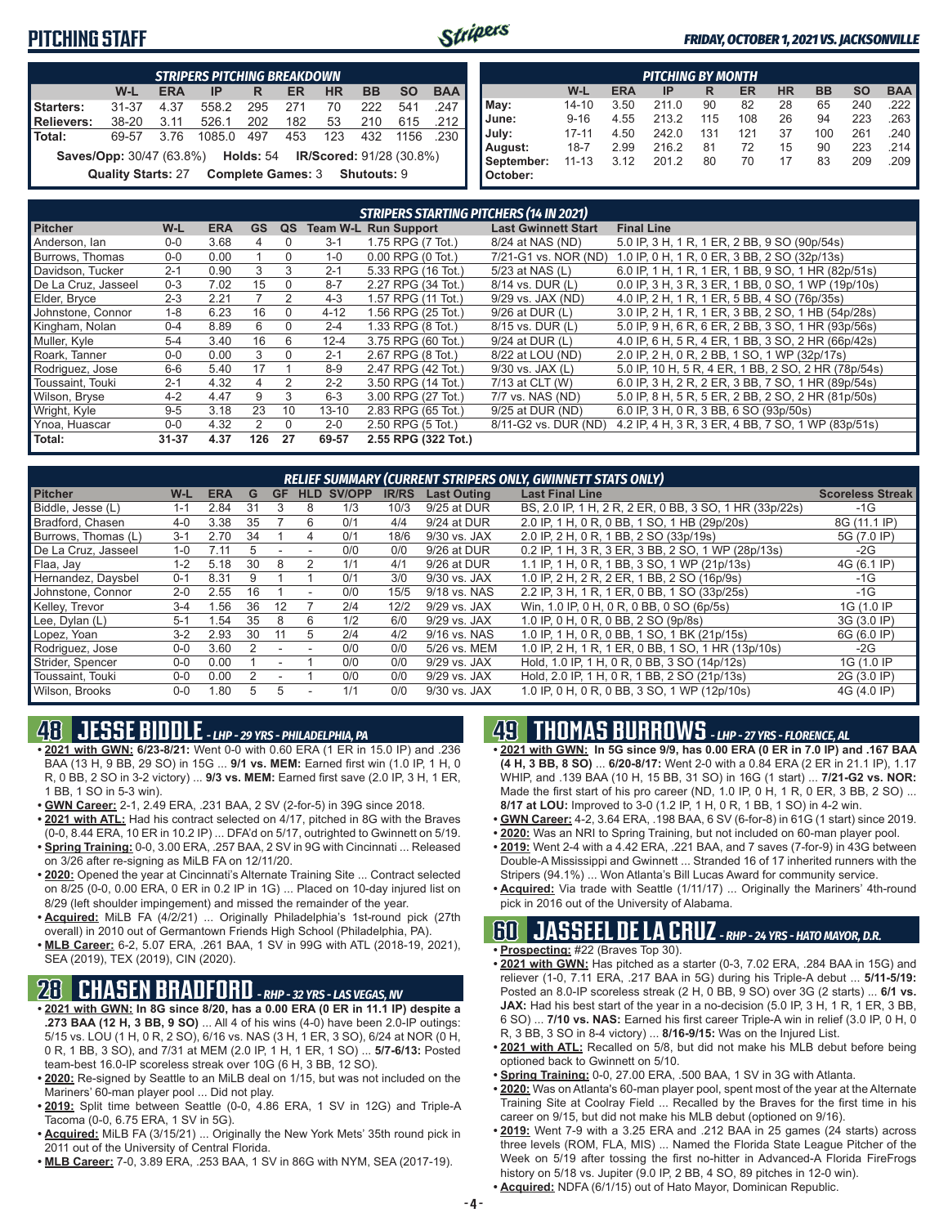## **PITCHING STAFF**



#### *FRIDAY, OCTOBER 1, 2021 VS. JACKSONVILLE*

|                                                                                         | <b>STRIPERS PITCHING BREAKDOWN</b> |      |        |     |                               |     |     |      |      |  |  |  |  |
|-----------------------------------------------------------------------------------------|------------------------------------|------|--------|-----|-------------------------------|-----|-----|------|------|--|--|--|--|
| <b>BAA</b><br><b>SO</b><br><b>BB</b><br>W-L<br><b>ERA</b><br><b>HR</b><br>IP<br>ER<br>R |                                    |      |        |     |                               |     |     |      |      |  |  |  |  |
| Starters:                                                                               | $31 - 37$                          | 4.37 | 558.2  | 295 | 271                           | 70  | 222 | 541  | .247 |  |  |  |  |
| Relievers:                                                                              | 38-20                              | 3.11 | 526.1  | 202 | 182                           | 53  | 210 | 615  | .212 |  |  |  |  |
| Total:                                                                                  | 69-57                              | 3.76 | 1085.0 | 497 | 453                           | 123 | 432 | 1156 | .230 |  |  |  |  |
| <b>Saves/Opp:</b> 30/47 (63.8%) <b>Holds:</b> 54 <b>IR/Scored:</b> 91/28 (30.8%)        |                                    |      |        |     |                               |     |     |      |      |  |  |  |  |
|                                                                                         | <b>Quality Starts: 27</b>          |      |        |     | Complete Games: 3 Shutouts: 9 |     |     |      |      |  |  |  |  |

|            | PITCHING BY MONTH                                                                       |      |       |     |     |    |     |     |      |  |  |  |  |
|------------|-----------------------------------------------------------------------------------------|------|-------|-----|-----|----|-----|-----|------|--|--|--|--|
|            | <b>BB</b><br><b>HR</b><br><b>SO</b><br><b>BAA</b><br>W-L<br><b>ERA</b><br>ER<br>IP<br>R |      |       |     |     |    |     |     |      |  |  |  |  |
| May:       | $14 - 10$                                                                               | 3.50 | 211.0 | 90  | 82  | 28 | 65  | 240 | .222 |  |  |  |  |
| June:      | $9 - 16$                                                                                | 4.55 | 213.2 | 115 | 108 | 26 | 94  | 223 | .263 |  |  |  |  |
| July:      | $17 - 11$                                                                               | 4.50 | 242.0 | 131 | 121 | 37 | 100 | 261 | .240 |  |  |  |  |
| August:    | $18 - 7$                                                                                | 2.99 | 216.2 | 81  | 72  | 15 | 90  | 223 | .214 |  |  |  |  |
| September: | $11 - 13$                                                                               | 3.12 | 201.2 | 80  | 70  | 17 | 83  | 209 | .209 |  |  |  |  |
| October:   |                                                                                         |      |       |     |     |    |     |     |      |  |  |  |  |

|                     | <b>STRIPERS STARTING PITCHERS (14 IN 2021)</b> |            |           |          |           |                             |                            |                                                     |  |  |  |  |  |  |
|---------------------|------------------------------------------------|------------|-----------|----------|-----------|-----------------------------|----------------------------|-----------------------------------------------------|--|--|--|--|--|--|
| <b>Pitcher</b>      | W-L                                            | <b>ERA</b> | <b>GS</b> | QS       |           | <b>Team W-L Run Support</b> | <b>Last Gwinnett Start</b> | <b>Final Line</b>                                   |  |  |  |  |  |  |
| Anderson, Ian       | $0 - 0$                                        | 3.68       | 4         | $\Omega$ | $3 - 1$   | 1.75 RPG (7 Tot.)           | 8/24 at NAS (ND)           | 5.0 IP, 3 H, 1 R, 1 ER, 2 BB, 9 SO (90p/54s)        |  |  |  |  |  |  |
| Burrows, Thomas     | $0 - 0$                                        | 0.00       |           | $\Omega$ | $1 - 0$   | $0.00$ RPG $(0$ Tot.)       | 7/21-G1 vs. NOR (ND)       | 1.0 IP, 0 H, 1 R, 0 ER, 3 BB, 2 SO (32p/13s)        |  |  |  |  |  |  |
| Davidson, Tucker    | $2 - 1$                                        | 0.90       | 3         | 3        | $2 - 1$   | 5.33 RPG (16 Tot.)          | 5/23 at NAS (L)            | 6.0 IP, 1 H, 1 R, 1 ER, 1 BB, 9 SO, 1 HR (82p/51s)  |  |  |  |  |  |  |
| De La Cruz. Jasseel | $0 - 3$                                        | 7.02       | 15        | $\Omega$ | $8 - 7$   | 2.27 RPG (34 Tot.)          | 8/14 vs. DUR (L)           | 0.0 IP, 3 H, 3 R, 3 ER, 1 BB, 0 SO, 1 WP (19p/10s)  |  |  |  |  |  |  |
| Elder, Bryce        | $2 - 3$                                        | 2.21       |           | 2        | $4 - 3$   | 1.57 RPG (11 Tot.)          | 9/29 vs. JAX (ND)          | 4.0 IP, 2 H, 1 R, 1 ER, 5 BB, 4 SO (76p/35s)        |  |  |  |  |  |  |
| Johnstone, Connor   | $1 - 8$                                        | 6.23       | 16        | $\Omega$ | $4 - 12$  | 1.56 RPG (25 Tot.)          | $9/26$ at DUR $(L)$        | 3.0 IP, 2 H, 1 R, 1 ER, 3 BB, 2 SO, 1 HB (54p/28s)  |  |  |  |  |  |  |
| Kingham, Nolan      | $0 - 4$                                        | 8.89       | 6         | $\Omega$ | $2 - 4$   | 1.33 RPG (8 Tot.)           | 8/15 vs. DUR (L)           | 5.0 IP, 9 H, 6 R, 6 ER, 2 BB, 3 SO, 1 HR (93p/56s)  |  |  |  |  |  |  |
| Muller, Kyle        | $5 - 4$                                        | 3.40       | 16        | 6        | $12 - 4$  | 3.75 RPG (60 Tot.)          | 9/24 at DUR (L)            | 4.0 IP, 6 H, 5 R, 4 ER, 1 BB, 3 SO, 2 HR (66p/42s)  |  |  |  |  |  |  |
| Roark, Tanner       | $0 - 0$                                        | 0.00       | 3         | $\Omega$ | $2 - 1$   | 2.67 RPG (8 Tot.)           | 8/22 at LOU (ND)           | 2.0 IP, 2 H, 0 R, 2 BB, 1 SO, 1 WP (32p/17s)        |  |  |  |  |  |  |
| Rodriguez, Jose     | $6-6$                                          | 5.40       | 17        |          | 8-9       | 2.47 RPG (42 Tot.)          | $9/30$ vs. JAX $(L)$       | 5.0 IP, 10 H, 5 R, 4 ER, 1 BB, 2 SO, 2 HR (78p/54s) |  |  |  |  |  |  |
| Toussaint, Touki    | $2 - 1$                                        | 4.32       | 4         | 2        | $2 - 2$   | 3.50 RPG (14 Tot.)          | 7/13 at CLT (W)            | 6.0 IP, 3 H, 2 R, 2 ER, 3 BB, 7 SO, 1 HR (89p/54s)  |  |  |  |  |  |  |
| Wilson, Bryse       | $4 - 2$                                        | 4.47       | 9         | 3        | $6 - 3$   | 3.00 RPG (27 Tot.)          | 7/7 vs. NAS (ND)           | 5.0 IP, 8 H, 5 R, 5 ER, 2 BB, 2 SO, 2 HR (81p/50s)  |  |  |  |  |  |  |
| Wright, Kyle        | $9 - 5$                                        | 3.18       | 23        | 10       | $13 - 10$ | 2.83 RPG (65 Tot.)          | 9/25 at DUR (ND)           | 6.0 IP, 3 H, 0 R, 3 BB, 6 SO (93p/50s)              |  |  |  |  |  |  |
| Ynoa, Huascar       | $0-0$                                          | 4.32       | 2         | $\Omega$ | $2 - 0$   | 2.50 RPG (5 Tot.)           | 8/11-G2 vs. DUR (ND)       | 4.2 IP, 4 H, 3 R, 3 ER, 4 BB, 7 SO, 1 WP (83p/51s)  |  |  |  |  |  |  |
| Total:              | $31 - 37$                                      | 4.37       | 126       | 27       | 69-57     | 2.55 RPG (322 Tot.)         |                            |                                                     |  |  |  |  |  |  |

| <b>RELIEF SUMMARY (CURRENT STRIPERS ONLY, GWINNETT STATS ONLY)</b> |         |            |     |           |     |        |              |                    |                                                        |                         |  |  |  |
|--------------------------------------------------------------------|---------|------------|-----|-----------|-----|--------|--------------|--------------------|--------------------------------------------------------|-------------------------|--|--|--|
| <b>Pitcher</b>                                                     | W-L     | <b>ERA</b> | G   | <b>GF</b> | HLD | SV/OPP | <b>IR/RS</b> | <b>Last Outing</b> | <b>Last Final Line</b>                                 | <b>Scoreless Streak</b> |  |  |  |
| Biddle, Jesse (L)                                                  | 1-1     | 2.84       | 31  |           | 8   | 1/3    | 10/3         | 9/25 at DUR        | BS, 2.0 IP, 1 H, 2 R, 2 ER, 0 BB, 3 SO, 1 HR (33p/22s) | -1G                     |  |  |  |
| Bradford, Chasen                                                   | $4 - 0$ | 3.38       | 35  |           | 6   | 0/1    | 4/4          | 9/24 at DUR        | 2.0 IP, 1 H, 0 R, 0 BB, 1 SO, 1 HB (29p/20s)           | 8G (11.1 IP)            |  |  |  |
| Burrows, Thomas (L)                                                | $3 - 1$ | 2.70       | 34  |           | 4   | 0/1    | 18/6         | 9/30 vs. JAX       | 2.0 IP, 2 H, 0 R, 1 BB, 2 SO (33p/19s)                 | 5G (7.0 IP)             |  |  |  |
| De La Cruz. Jasseel                                                | $1 - 0$ | 7.11       |     |           |     | 0/0    | 0/0          | 9/26 at DUR        | 0.2 IP, 1 H, 3 R, 3 ER, 3 BB, 2 SO, 1 WP (28p/13s)     | $-2G$                   |  |  |  |
| Flaa, Jay                                                          | $1 - 2$ | 5.18       | 30  | 8         |     | 1/1    | 4/1          | 9/26 at DUR        | 1.1 IP, 1 H, 0 R, 1 BB, 3 SO, 1 WP (21p/13s)           | 4G (6.1 IP)             |  |  |  |
| Hernandez, Daysbel                                                 | $0 - 1$ | 8.31       |     |           |     | 0/1    | 3/0          | 9/30 vs. JAX       | 1.0 IP. 2 H. 2 R. 2 ER. 1 BB. 2 SO (16p/9s)            | $-1G$                   |  |  |  |
| Johnstone, Connor                                                  | $2 - 0$ | 2.55       | 16  |           |     | 0/0    | 15/5         | 9/18 vs. NAS       | 2.2 IP, 3 H, 1 R, 1 ER, 0 BB, 1 SO (33p/25s)           | $-1G$                   |  |  |  |
| Kelley, Trevor                                                     | $3 - 4$ | .56        | 36  | 12        |     | 2/4    | 12/2         | 9/29 vs. JAX       | Win, 1.0 IP, 0 H, 0 R, 0 BB, 0 SO (6p/5s)              | 1G (1.0 IP              |  |  |  |
| Lee, Dylan (L)                                                     | $5 - 1$ | .54        | 35  | 8         | ĥ   | 1/2    | 6/0          | 9/29 vs. JAX       | 1.0 IP, 0 H, 0 R, 0 BB, 2 SO (9p/8s)                   | 3G (3.0 IP)             |  |  |  |
| Lopez, Yoan                                                        | $3-2$   | 2.93       | 30  |           | 5   | 2/4    | 4/2          | 9/16 vs. NAS       | 1.0 IP, 1 H, 0 R, 0 BB, 1 SO, 1 BK (21p/15s)           | 6G (6.0 IP)             |  |  |  |
| Rodriguez, Jose                                                    | $0 - 0$ | 3.60       |     |           |     | 0/0    | 0/0          | 5/26 vs. MEM       | 1.0 IP, 2 H, 1 R, 1 ER, 0 BB, 1 SO, 1 HR (13p/10s)     | $-2G$                   |  |  |  |
| Strider, Spencer                                                   | $0 - 0$ | 0.00       |     |           |     | 0/0    | 0/0          | 9/29 vs. JAX       | Hold, 1.0 IP, 1 H, 0 R, 0 BB, 3 SO (14p/12s)           | 1G (1.0 IP              |  |  |  |
| Toussaint. Touki                                                   | $0 - 0$ | 0.00       |     |           |     | 0/0    | 0/0          | 9/29 vs. JAX       | Hold, 2.0 IP, 1 H, 0 R, 1 BB, 2 SO (21p/13s)           | 2G (3.0 IP)             |  |  |  |
| Wilson, Brooks                                                     | $0-0$   | .80        | 'n. | 5         |     | 1/1    | 0/0          | 9/30 vs. JAX       | 1.0 IP, 0 H, 0 R, 0 BB, 3 SO, 1 WP (12p/10s)           | 4G (4.0 IP)             |  |  |  |

# **48 JESSE BIDDLE** *- LHP - 29 YRS - PHILADELPHIA, PA*

- **• 2021 with GWN: 6/23-8/21:** Went 0-0 with 0.60 ERA (1 ER in 15.0 IP) and .236 BAA (13 H, 9 BB, 29 SO) in 15G ... **9/1 vs. MEM:** Earned first win (1.0 IP, 1 H, 0 R, 0 BB, 2 SO in 3-2 victory) ... **9/3 vs. MEM:** Earned first save (2.0 IP, 3 H, 1 ER, 1 BB, 1 SO in 5-3 win).
- **• GWN Career:** 2-1, 2.49 ERA, .231 BAA, 2 SV (2-for-5) in 39G since 2018.
- **• 2021 with ATL:** Had his contract selected on 4/17, pitched in 8G with the Braves (0-0, 8.44 ERA, 10 ER in 10.2 IP) ... DFA'd on 5/17, outrighted to Gwinnett on 5/19.
- **• Spring Training:** 0-0, 3.00 ERA, .257 BAA, 2 SV in 9G with Cincinnati ... Released on 3/26 after re-signing as MiLB FA on 12/11/20.
- **• 2020:** Opened the year at Cincinnati's Alternate Training Site ... Contract selected on 8/25 (0-0, 0.00 ERA, 0 ER in 0.2 IP in 1G) ... Placed on 10-day injured list on 8/29 (left shoulder impingement) and missed the remainder of the year.
- **• Acquired:** MiLB FA (4/2/21) ... Originally Philadelphia's 1st-round pick (27th overall) in 2010 out of Germantown Friends High School (Philadelphia, PA).
- **• MLB Career:** 6-2, 5.07 ERA, .261 BAA, 1 SV in 99G with ATL (2018-19, 2021), SEA (2019), TEX (2019), CIN (2020).

## **28 CHASEN BRADFORD** *- RHP - 32 YRS - LAS VEGAS, NV*

- **• 2021 with GWN: In 8G since 8/20, has a 0.00 ERA (0 ER in 11.1 IP) despite a .273 BAA (12 H, 3 BB, 9 SO)** ... All 4 of his wins (4-0) have been 2.0-IP outings: 5/15 vs. LOU (1 H, 0 R, 2 SO), 6/16 vs. NAS (3 H, 1 ER, 3 SO), 6/24 at NOR (0 H, 0 R, 1 BB, 3 SO), and 7/31 at MEM (2.0 IP, 1 H, 1 ER, 1 SO) ... **5/7-6/13:** Posted team-best 16.0-IP scoreless streak over 10G (6 H, 3 BB, 12 SO).
- **• 2020:** Re-signed by Seattle to an MiLB deal on 1/15, but was not included on the Mariners' 60-man player pool ... Did not play.
- **• 2019:** Split time between Seattle (0-0, 4.86 ERA, 1 SV in 12G) and Triple-A Tacoma (0-0, 6.75 ERA, 1 SV in 5G).
- **• Acquired:** MiLB FA (3/15/21) ... Originally the New York Mets' 35th round pick in 2011 out of the University of Central Florida.
- **• MLB Career:** 7-0, 3.89 ERA, .253 BAA, 1 SV in 86G with NYM, SEA (2017-19).

## **49 THOMAS BURROWS** *- LHP - 27 YRS - FLORENCE, AL*

- **• 2021 with GWN: In 5G since 9/9, has 0.00 ERA (0 ER in 7.0 IP) and .167 BAA (4 H, 3 BB, 8 SO)** ... **6/20-8/17:** Went 2-0 with a 0.84 ERA (2 ER in 21.1 IP), 1.17 WHIP, and .139 BAA (10 H, 15 BB, 31 SO) in 16G (1 start) ... **7/21-G2 vs. NOR:** Made the first start of his pro career (ND, 1.0 IP, 0 H, 1 R, 0 ER, 3 BB, 2 SO) ... **8/17 at LOU:** Improved to 3-0 (1.2 IP, 1 H, 0 R, 1 BB, 1 SO) in 4-2 win.
- **• GWN Career:** 4-2, 3.64 ERA, .198 BAA, 6 SV (6-for-8) in 61G (1 start) since 2019.
- **• 2020:** Was an NRI to Spring Training, but not included on 60-man player pool.
- **• 2019:** Went 2-4 with a 4.42 ERA, .221 BAA, and 7 saves (7-for-9) in 43G between Double-A Mississippi and Gwinnett ... Stranded 16 of 17 inherited runners with the Stripers (94.1%) ... Won Atlanta's Bill Lucas Award for community service.
- **• Acquired:** Via trade with Seattle (1/11/17) ... Originally the Mariners' 4th-round pick in 2016 out of the University of Alabama.

## **60 JASSEEL DE LA CRUZ** *- RHP - 24 YRS - HATO MAYOR, D.R.*

- **• Prospecting:** #22 (Braves Top 30).
- **• 2021 with GWN:** Has pitched as a starter (0-3, 7.02 ERA, .284 BAA in 15G) and reliever (1-0, 7.11 ERA, .217 BAA in 5G) during his Triple-A debut ... **5/11-5/19:** Posted an 8.0-IP scoreless streak (2 H, 0 BB, 9 SO) over 3G (2 starts) ... **6/1 vs. JAX:** Had his best start of the year in a no-decision (5.0 IP, 3 H, 1 R, 1 ER, 3 BB, 6 SO) ... **7/10 vs. NAS:** Earned his first career Triple-A win in relief (3.0 IP, 0 H, 0 R, 3 BB, 3 SO in 8-4 victory) ... **8/16-9/15:** Was on the Injured List.
- **• 2021 with ATL:** Recalled on 5/8, but did not make his MLB debut before being optioned back to Gwinnett on 5/10.
- **• Spring Training:** 0-0, 27.00 ERA, .500 BAA, 1 SV in 3G with Atlanta.
- **• 2020:** Was on Atlanta's 60-man player pool, spent most of the year at the Alternate Training Site at Coolray Field ... Recalled by the Braves for the first time in his career on 9/15, but did not make his MLB debut (optioned on 9/16).
- **• 2019:** Went 7-9 with a 3.25 ERA and .212 BAA in 25 games (24 starts) across three levels (ROM, FLA, MIS) ... Named the Florida State League Pitcher of the Week on 5/19 after tossing the first no-hitter in Advanced-A Florida FireFrogs history on 5/18 vs. Jupiter (9.0 IP, 2 BB, 4 SO, 89 pitches in 12-0 win).
- **• Acquired:** NDFA (6/1/15) out of Hato Mayor, Dominican Republic.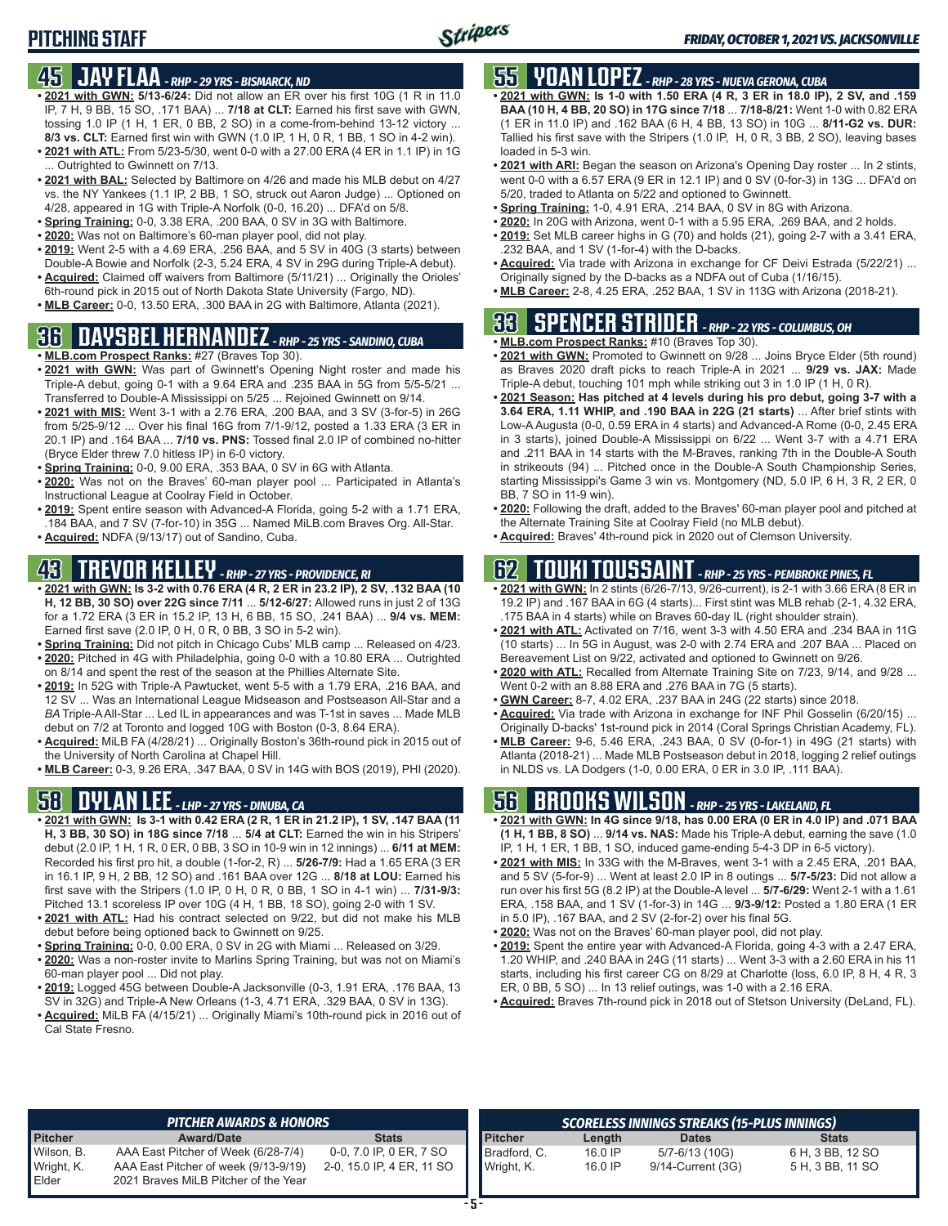# **PITCHING STAFF**

### **45 JAY FLAA** *- RHP - 29 YRS - BISMARCK, ND*

- **• 2021 with GWN: 5/13-6/24:** Did not allow an ER over his first 10G (1 R in 11.0 IP, 7 H, 9 BB, 15 SO, .171 BAA) ... **7/18 at CLT:** Earned his first save with GWN, tossing 1.0 IP (1 H, 1 ER, 0 BB, 2 SO) in a come-from-behind 13-12 victory ... **8/3 vs. CLT:** Earned first win with GWN (1.0 IP, 1 H, 0 R, 1 BB, 1 SO in 4-2 win).
- **• 2021 with ATL:** From 5/23-5/30, went 0-0 with a 27.00 ERA (4 ER in 1.1 IP) in 1G ... Outrighted to Gwinnett on 7/13.
- **• 2021 with BAL:** Selected by Baltimore on 4/26 and made his MLB debut on 4/27 vs. the NY Yankees (1.1 IP, 2 BB, 1 SO, struck out Aaron Judge) ... Optioned on 4/28, appeared in 1G with Triple-A Norfolk (0-0, 16.20) ... DFA'd on 5/8.
- **• Spring Training:** 0-0, 3.38 ERA, .200 BAA, 0 SV in 3G with Baltimore.
- **• 2020:** Was not on Baltimore's 60-man player pool, did not play.
- **• 2019:** Went 2-5 with a 4.69 ERA, .256 BAA, and 5 SV in 40G (3 starts) between Double-A Bowie and Norfolk (2-3, 5.24 ERA, 4 SV in 29G during Triple-A debut).
- **• Acquired:** Claimed off waivers from Baltimore (5/11/21) ... Originally the Orioles' 6th-round pick in 2015 out of North Dakota State University (Fargo, ND).
- **• MLB Career:** 0-0, 13.50 ERA, .300 BAA in 2G with Baltimore, Atlanta (2021).

# **36 DAYSBEL HERNANDEZ** *- RHP - 25 YRS - SANDINO, CUBA*

- **• MLB.com Prospect Ranks:** #27 (Braves Top 30).
- **• 2021 with GWN:** Was part of Gwinnett's Opening Night roster and made his Triple-A debut, going 0-1 with a 9.64 ERA and .235 BAA in 5G from 5/5-5/21 ... Transferred to Double-A Mississippi on 5/25 ... Rejoined Gwinnett on 9/14.
- **• 2021 with MIS:** Went 3-1 with a 2.76 ERA, .200 BAA, and 3 SV (3-for-5) in 26G from 5/25-9/12 ... Over his final 16G from 7/1-9/12, posted a 1.33 ERA (3 ER in 20.1 IP) and .164 BAA ... **7/10 vs. PNS:** Tossed final 2.0 IP of combined no-hitter (Bryce Elder threw 7.0 hitless IP) in 6-0 victory.
- **• Spring Training:** 0-0, 9.00 ERA, .353 BAA, 0 SV in 6G with Atlanta.
- **• 2020:** Was not on the Braves' 60-man player pool ... Participated in Atlanta's Instructional League at Coolray Field in October.
- **• 2019:** Spent entire season with Advanced-A Florida, going 5-2 with a 1.71 ERA, .184 BAA, and 7 SV (7-for-10) in 35G ... Named MiLB.com Braves Org. All-Star.
- **• Acquired:** NDFA (9/13/17) out of Sandino, Cuba.

# **43 TREVOR KELLEY** *- RHP - 27 YRS - PROVIDENCE, RI*

- **• 2021 with GWN: Is 3-2 with 0.76 ERA (4 R, 2 ER in 23.2 IP), 2 SV, .132 BAA (10 H, 12 BB, 30 SO) over 22G since 7/11** ... **5/12-6/27:** Allowed runs in just 2 of 13G for a 1.72 ERA (3 ER in 15.2 IP, 13 H, 6 BB, 15 SO, .241 BAA) ... **9/4 vs. MEM:** Earned first save (2.0 IP, 0 H, 0 R, 0 BB, 3 SO in 5-2 win).
- **• Spring Training:** Did not pitch in Chicago Cubs' MLB camp ... Released on 4/23. **• 2020:** Pitched in 4G with Philadelphia, going 0-0 with a 10.80 ERA ... Outrighted
- on 8/14 and spent the rest of the season at the Phillies Alternate Site.
- **• 2019:** In 52G with Triple-A Pawtucket, went 5-5 with a 1.79 ERA, .216 BAA, and 12 SV ... Was an International League Midseason and Postseason All-Star and a *BA* Triple-A All-Star ... Led IL in appearances and was T-1st in saves ... Made MLB debut on 7/2 at Toronto and logged 10G with Boston (0-3, 8.64 ERA).
- **• Acquired:** MiLB FA (4/28/21) ... Originally Boston's 36th-round pick in 2015 out of the University of North Carolina at Chapel Hill.
- **• MLB Career:** 0-3, 9.26 ERA, .347 BAA, 0 SV in 14G with BOS (2019), PHI (2020).

## **58 DYLAN LEE** *- LHP - 27 YRS - DINUBA, CA*

- **• 2021 with GWN: Is 3-1 with 0.42 ERA (2 R, 1 ER in 21.2 IP), 1 SV, .147 BAA (11 H, 3 BB, 30 SO) in 18G since 7/18** ... **5/4 at CLT:** Earned the win in his Stripers' debut (2.0 IP, 1 H, 1 R, 0 ER, 0 BB, 3 SO in 10-9 win in 12 innings) ... **6/11 at MEM:** Recorded his first pro hit, a double (1-for-2, R) ... **5/26-7/9:** Had a 1.65 ERA (3 ER in 16.1 IP, 9 H, 2 BB, 12 SO) and .161 BAA over 12G ... **8/18 at LOU:** Earned his first save with the Stripers (1.0 IP, 0 H, 0 R, 0 BB, 1 SO in 4-1 win) ... **7/31-9/3:** Pitched 13.1 scoreless IP over 10G (4 H, 1 BB, 18 SO), going 2-0 with 1 SV.
- **• 2021 with ATL:** Had his contract selected on 9/22, but did not make his MLB debut before being optioned back to Gwinnett on 9/25.
- **• Spring Training:** 0-0, 0.00 ERA, 0 SV in 2G with Miami ... Released on 3/29.
- **• 2020:** Was a non-roster invite to Marlins Spring Training, but was not on Miami's 60-man player pool ... Did not play.
- **• 2019:** Logged 45G between Double-A Jacksonville (0-3, 1.91 ERA, .176 BAA, 13 SV in 32G) and Triple-A New Orleans (1-3, 4.71 ERA, .329 BAA, 0 SV in 13G).
- **• Acquired:** MiLB FA (4/15/21) ... Originally Miami's 10th-round pick in 2016 out of Cal State Fresno.

# **55 YOAN LOPEZ** *- RHP - 28 YRS - NUEVA GERONA, CUBA*

- **• 2021 with GWN: Is 1-0 with 1.50 ERA (4 R, 3 ER in 18.0 IP), 2 SV, and .159 BAA (10 H, 4 BB, 20 SO) in 17G since 7/18** ... **7/18-8/21:** Went 1-0 with 0.82 ERA (1 ER in 11.0 IP) and .162 BAA (6 H, 4 BB, 13 SO) in 10G ... **8/11-G2 vs. DUR:** Tallied his first save with the Stripers (1.0 IP, H, 0 R, 3 BB, 2 SO), leaving bases loaded in 5-3 win.
- **• 2021 with ARI:** Began the season on Arizona's Opening Day roster ... In 2 stints, went 0-0 with a 6.57 ERA (9 ER in 12.1 IP) and 0 SV (0-for-3) in 13G ... DFA'd on 5/20, traded to Atlanta on 5/22 and optioned to Gwinnett.
- **• Spring Training:** 1-0, 4.91 ERA, .214 BAA, 0 SV in 8G with Arizona.
- **• 2020:** In 20G with Arizona, went 0-1 with a 5.95 ERA, .269 BAA, and 2 holds. **• 2019:** Set MLB career highs in G (70) and holds (21), going 2-7 with a 3.41 ERA,
- .232 BAA, and 1 SV (1-for-4) with the D-backs. **• Acquired:** Via trade with Arizona in exchange for CF Deivi Estrada (5/22/21) ... Originally signed by the D-backs as a NDFA out of Cuba (1/16/15).
- **• MLB Career:** 2-8, 4.25 ERA, .252 BAA, 1 SV in 113G with Arizona (2018-21).

# **33 SPENCER STRIDER** *- RHP - 22 YRS - COLUMBUS, OH*

- **• MLB.com Prospect Ranks:** #10 (Braves Top 30). **• 2021 with GWN:** Promoted to Gwinnett on 9/28 ... Joins Bryce Elder (5th round) as Braves 2020 draft picks to reach Triple-A in 2021 ... **9/29 vs. JAX:** Made
- Triple-A debut, touching 101 mph while striking out 3 in 1.0 IP (1 H, 0 R). **• 2021 Season: Has pitched at 4 levels during his pro debut, going 3-7 with a 3.64 ERA, 1.11 WHIP, and .190 BAA in 22G (21 starts)** ... After brief stints with Low-A Augusta (0-0, 0.59 ERA in 4 starts) and Advanced-A Rome (0-0, 2.45 ERA in 3 starts), joined Double-A Mississippi on 6/22 ... Went 3-7 with a 4.71 ERA and .211 BAA in 14 starts with the M-Braves, ranking 7th in the Double-A South in strikeouts (94) ... Pitched once in the Double-A South Championship Series, starting Mississippi's Game 3 win vs. Montgomery (ND, 5.0 IP, 6 H, 3 R, 2 ER, 0
- BB, 7 SO in 11-9 win). **• 2020:** Following the draft, added to the Braves' 60-man player pool and pitched at the Alternate Training Site at Coolray Field (no MLB debut).
- **• Acquired:** Braves' 4th-round pick in 2020 out of Clemson University.

# **62 TOUKI TOUSSAINT** *- RHP - 25 YRS - PEMBROKE PINES, FL*

- **• 2021 with GWN:** In 2 stints (6/26-7/13, 9/26-current), is 2-1 with 3.66 ERA (8 ER in 19.2 IP) and .167 BAA in 6G (4 starts)... First stint was MLB rehab (2-1, 4.32 ERA, .175 BAA in 4 starts) while on Braves 60-day IL (right shoulder strain).
- **• 2021 with ATL:** Activated on 7/16, went 3-3 with 4.50 ERA and .234 BAA in 11G (10 starts) ... In 5G in August, was 2-0 with 2.74 ERA and .207 BAA ... Placed on Bereavement List on 9/22, activated and optioned to Gwinnett on 9/26.
- **• 2020 with ATL:** Recalled from Alternate Training Site on 7/23, 9/14, and 9/28 ... Went 0-2 with an 8.88 ERA and .276 BAA in 7G (5 starts).
- **• GWN Career:** 8-7, 4.02 ERA, .237 BAA in 24G (22 starts) since 2018.
- **• Acquired:** Via trade with Arizona in exchange for INF Phil Gosselin (6/20/15) ... Originally D-backs' 1st-round pick in 2014 (Coral Springs Christian Academy, FL).
- **• MLB Career:** 9-6, 5.46 ERA, .243 BAA, 0 SV (0-for-1) in 49G (21 starts) with Atlanta (2018-21) ... Made MLB Postseason debut in 2018, logging 2 relief outings in NLDS vs. LA Dodgers (1-0, 0.00 ERA, 0 ER in 3.0 IP, .111 BAA).

## **56 BROOKS WILSON** *- RHP - 25 YRS - LAKELAND, FL*

- **• 2021 with GWN: In 4G since 9/18, has 0.00 ERA (0 ER in 4.0 IP) and .071 BAA (1 H, 1 BB, 8 SO)** ... **9/14 vs. NAS:** Made his Triple-A debut, earning the save (1.0 IP, 1 H, 1 ER, 1 BB, 1 SO, induced game-ending 5-4-3 DP in 6-5 victory).
- **• 2021 with MIS:** In 33G with the M-Braves, went 3-1 with a 2.45 ERA, .201 BAA, and 5 SV (5-for-9) ... Went at least 2.0 IP in 8 outings ... **5/7-5/23:** Did not allow a run over his first 5G (8.2 IP) at the Double-A level ... **5/7-6/29:** Went 2-1 with a 1.61 ERA, .158 BAA, and 1 SV (1-for-3) in 14G ... **9/3-9/12:** Posted a 1.80 ERA (1 ER in 5.0 IP), .167 BAA, and 2 SV (2-for-2) over his final 5G.
- **• 2020:** Was not on the Braves' 60-man player pool, did not play.
- **• 2019:** Spent the entire year with Advanced-A Florida, going 4-3 with a 2.47 ERA, 1.20 WHIP, and .240 BAA in 24G (11 starts) ... Went 3-3 with a 2.60 ERA in his 11 starts, including his first career CG on 8/29 at Charlotte (loss, 6.0 IP, 8 H, 4 R, 3 ER, 0 BB, 5 SO) ... In 13 relief outings, was 1-0 with a 2.16 ERA.
- **• Acquired:** Braves 7th-round pick in 2018 out of Stetson University (DeLand, FL).

|                                   | <b>PITCHER AWARDS &amp; HONORS</b>                                                                                  |                                                      | <b>SCORELESS INNINGS STREAKS (15-PLUS INNINGS)</b> |                    |                                     |                                      |  |  |  |
|-----------------------------------|---------------------------------------------------------------------------------------------------------------------|------------------------------------------------------|----------------------------------------------------|--------------------|-------------------------------------|--------------------------------------|--|--|--|
| <b>Pitcher</b>                    | Award/Date                                                                                                          | <b>Stats</b>                                         | <b>Pitcher</b>                                     | Length             | <b>Dates</b>                        | <b>Stats</b>                         |  |  |  |
| Wilson, B.<br>Wright, K.<br>Elder | AAA East Pitcher of Week (6/28-7/4)<br>AAA East Pitcher of week (9/13-9/19)<br>2021 Braves MiLB Pitcher of the Year | 0-0, 7.0 IP, 0 ER, 7 SO<br>2-0, 15.0 IP, 4 ER, 11 SO | Bradford, C.<br>Wright, K.                         | 16.0 IP<br>16.0 IP | 5/7-6/13 (10G)<br>9/14-Current (3G) | 6 H, 3 BB, 12 SO<br>5 H, 3 BB, 11 SO |  |  |  |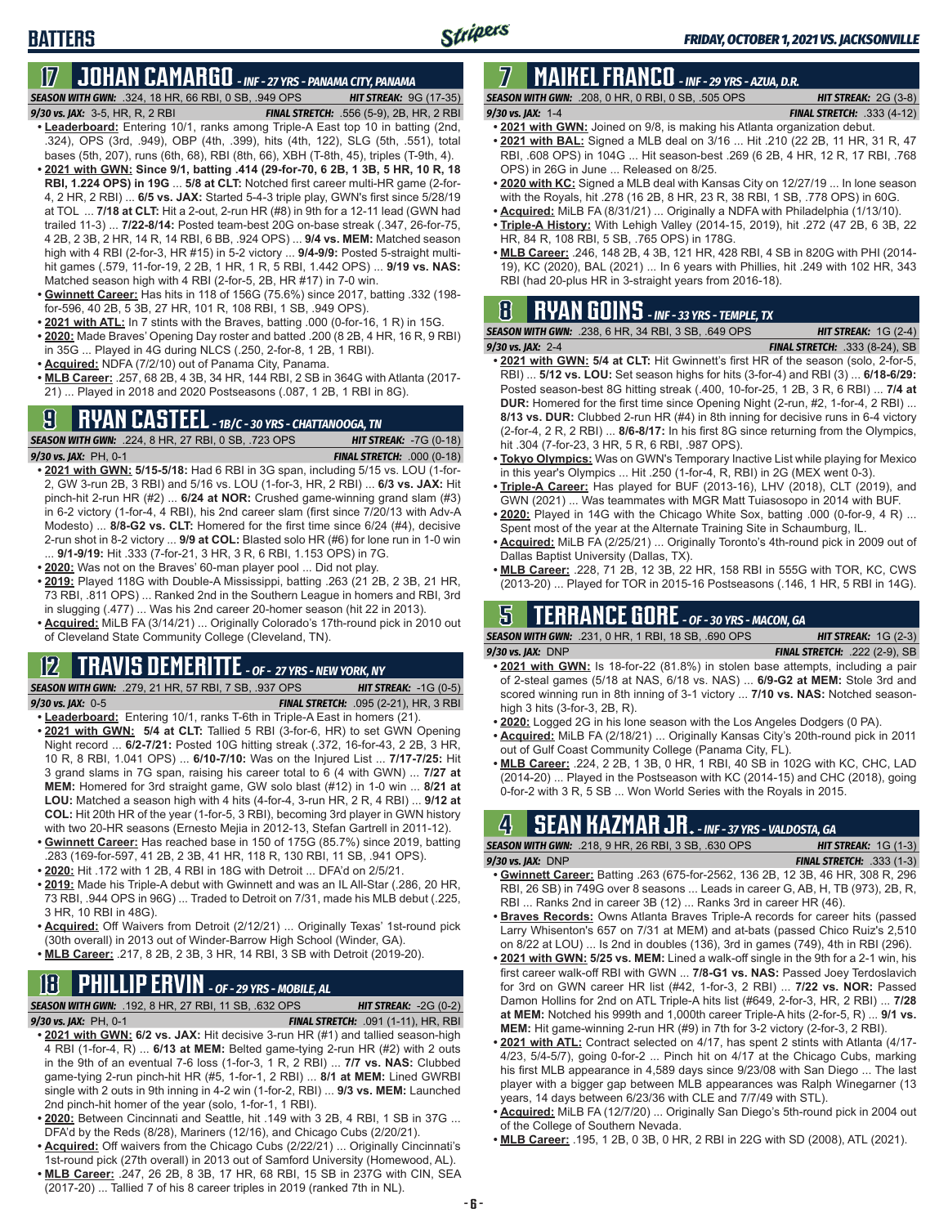# **17 JOHAN CAMARGO** *- INF - 27 YRS - PANAMA CITY, PANAMA*

*SEASON WITH GWN:*.324, 18 HR, 66 RBI, 0 SB, .949 OPS *HIT STREAK:* 9G (17-35)

**BATTERS**

- *9/30 vs. JAX:* 3-5, HR, R, 2 RBI *FINAL STRETCH:* .556 (5-9), 2B, HR, 2 RBI **• Leaderboard:** Entering 10/1, ranks among Triple-A East top 10 in batting (2nd, .324), OPS (3rd, .949), OBP (4th, .399), hits (4th, 122), SLG (5th, .551), total bases (5th, 207), runs (6th, 68), RBI (8th, 66), XBH (T-8th, 45), triples (T-9th, 4).
- **• 2021 with GWN: Since 9/1, batting .414 (29-for-70, 6 2B, 1 3B, 5 HR, 10 R, 18 RBI, 1.224 OPS) in 19G** ... **5/8 at CLT:** Notched first career multi-HR game (2-for-4, 2 HR, 2 RBI) ... **6/5 vs. JAX:** Started 5-4-3 triple play, GWN's first since 5/28/19 at TOL ... **7/18 at CLT:** Hit a 2-out, 2-run HR (#8) in 9th for a 12-11 lead (GWN had trailed 11-3) ... **7/22-8/14:** Posted team-best 20G on-base streak (.347, 26-for-75, 4 2B, 2 3B, 2 HR, 14 R, 14 RBI, 6 BB, .924 OPS) ... **9/4 vs. MEM:** Matched season high with 4 RBI (2-for-3, HR #15) in 5-2 victory ... **9/4-9/9:** Posted 5-straight multihit games (.579, 11-for-19, 2 2B, 1 HR, 1 R, 5 RBI, 1.442 OPS) ... **9/19 vs. NAS:** Matched season high with 4 RBI (2-for-5, 2B, HR #17) in 7-0 win.
- **• Gwinnett Career:** Has hits in 118 of 156G (75.6%) since 2017, batting .332 (198 for-596, 40 2B, 5 3B, 27 HR, 101 R, 108 RBI, 1 SB, .949 OPS).
- **• 2021 with ATL:** In 7 stints with the Braves, batting .000 (0-for-16, 1 R) in 15G.
- **• 2020:** Made Braves' Opening Day roster and batted .200 (8 2B, 4 HR, 16 R, 9 RBI) in 35G ... Played in 4G during NLCS (.250, 2-for-8, 1 2B, 1 RBI).
- **• Acquired:** NDFA (7/2/10) out of Panama City, Panama.
- **• MLB Career:** .257, 68 2B, 4 3B, 34 HR, 144 RBI, 2 SB in 364G with Atlanta (2017- 21) ... Played in 2018 and 2020 Postseasons (.087, 1 2B, 1 RBI in 8G).

## **9 RYAN CASTEEL** *- 1B/C - 30 YRS - CHATTANOOGA, TN*

*SEASON WITH GWN:*.224, 8 HR, 27 RBI, 0 SB, .723 OPS *HIT STREAK:* -7G (0-18) *9/30 vs. JAX:*PH, 0-1 *FINAL STRETCH:* .000 (0-18)

- **• 2021 with GWN: 5/15-5/18:** Had 6 RBI in 3G span, including 5/15 vs. LOU (1-for-2, GW 3-run 2B, 3 RBI) and 5/16 vs. LOU (1-for-3, HR, 2 RBI) ... **6/3 vs. JAX:** Hit pinch-hit 2-run HR (#2) ... **6/24 at NOR:** Crushed game-winning grand slam (#3) in 6-2 victory (1-for-4, 4 RBI), his 2nd career slam (first since 7/20/13 with Adv-A Modesto) ... **8/8-G2 vs. CLT:** Homered for the first time since 6/24 (#4), decisive 2-run shot in 8-2 victory ... **9/9 at COL:** Blasted solo HR (#6) for lone run in 1-0 win ... **9/1-9/19:** Hit .333 (7-for-21, 3 HR, 3 R, 6 RBI, 1.153 OPS) in 7G.
- **• 2020:** Was not on the Braves' 60-man player pool ... Did not play.
- **• 2019:** Played 118G with Double-A Mississippi, batting .263 (21 2B, 2 3B, 21 HR, 73 RBI, .811 OPS) ... Ranked 2nd in the Southern League in homers and RBI, 3rd in slugging (.477) ... Was his 2nd career 20-homer season (hit 22 in 2013).
- **• Acquired:** MiLB FA (3/14/21) ... Originally Colorado's 17th-round pick in 2010 out of Cleveland State Community College (Cleveland, TN).

### **12 TRAVIS DEMERITTE** *- OF - 27 YRS - NEW YORK, NY*

*SEASON WITH GWN:*.279, 21 HR, 57 RBI, 7 SB, .937 OPS *HIT STREAK:* -1G (0-5) *9/30 vs. JAX:*0-5 *FINAL STRETCH:* .095 (2-21), HR, 3 RBI

- **• Leaderboard:** Entering 10/1, ranks T-6th in Triple-A East in homers (21). **• 2021 with GWN: 5/4 at CLT:** Tallied 5 RBI (3-for-6, HR) to set GWN Opening Night record ... **6/2-7/21:** Posted 10G hitting streak (.372, 16-for-43, 2 2B, 3 HR, 10 R, 8 RBI, 1.041 OPS) ... **6/10-7/10:** Was on the Injured List ... **7/17-7/25:** Hit 3 grand slams in 7G span, raising his career total to 6 (4 with GWN) ... **7/27 at MEM:** Homered for 3rd straight game, GW solo blast (#12) in 1-0 win ... **8/21 at LOU:** Matched a season high with 4 hits (4-for-4, 3-run HR, 2 R, 4 RBI) ... **9/12 at COL:** Hit 20th HR of the year (1-for-5, 3 RBI), becoming 3rd player in GWN history
- with two 20-HR seasons (Ernesto Mejia in 2012-13, Stefan Gartrell in 2011-12). **• Gwinnett Career:** Has reached base in 150 of 175G (85.7%) since 2019, batting .283 (169-for-597, 41 2B, 2 3B, 41 HR, 118 R, 130 RBI, 11 SB, .941 OPS).
- **• 2020:** Hit .172 with 1 2B, 4 RBI in 18G with Detroit ... DFA'd on 2/5/21.
- **• 2019:** Made his Triple-A debut with Gwinnett and was an IL All-Star (.286, 20 HR, 73 RBI, .944 OPS in 96G) ... Traded to Detroit on 7/31, made his MLB debut (.225, 3 HR, 10 RBI in 48G).
- **• Acquired:** Off Waivers from Detroit (2/12/21) ... Originally Texas' 1st-round pick (30th overall) in 2013 out of Winder-Barrow High School (Winder, GA).
- **• MLB Career:** .217, 8 2B, 2 3B, 3 HR, 14 RBI, 3 SB with Detroit (2019-20).

# **18 PHILLIP ERVIN** *- OF - 29 YRS - MOBILE, AL*

*SEASON WITH GWN:*.192, 8 HR, 27 RBI, 11 SB, .632 OPS *HIT STREAK:* -2G (0-2)

- *9/30 vs. JAX:*PH, 0-1 *FINAL STRETCH:* .091 (1-11), HR, RBI
- **• 2021 with GWN: 6/2 vs. JAX:** Hit decisive 3-run HR (#1) and tallied season-high 4 RBI (1-for-4, R) ... **6/13 at MEM:** Belted game-tying 2-run HR (#2) with 2 outs in the 9th of an eventual 7-6 loss (1-for-3, 1 R, 2 RBI) ... **7/7 vs. NAS:** Clubbed game-tying 2-run pinch-hit HR (#5, 1-for-1, 2 RBI) ... **8/1 at MEM:** Lined GWRBI single with 2 outs in 9th inning in 4-2 win (1-for-2, RBI) ... **9/3 vs. MEM:** Launched 2nd pinch-hit homer of the year (solo, 1-for-1, 1 RBI).
- **• 2020:** Between Cincinnati and Seattle, hit .149 with 3 2B, 4 RBI, 1 SB in 37G ... DFA'd by the Reds (8/28), Mariners (12/16), and Chicago Cubs (2/20/21).
- **• Acquired:** Off waivers from the Chicago Cubs (2/22/21) ... Originally Cincinnati's 1st-round pick (27th overall) in 2013 out of Samford University (Homewood, AL).
- **• MLB Career:** .247, 26 2B, 8 3B, 17 HR, 68 RBI, 15 SB in 237G with CIN, SEA (2017-20) ... Tallied 7 of his 8 career triples in 2019 (ranked 7th in NL).

#### **7 MAIKEL FRANCO** *- INF - 29 YRS - AZUA, D.R. SEASON WITH GWN:*.208, 0 HR, 0 RBI, 0 SB, .505 OPS *HIT STREAK:* 2G (3-8)

- *9/30 vs. JAX:*1-4 *FINAL STRETCH:* .333 (4-12)
- **• 2021 with GWN:** Joined on 9/8, is making his Atlanta organization debut. **• 2021 with BAL:** Signed a MLB deal on 3/16 ... Hit .210 (22 2B, 11 HR, 31 R, 47
- RBI, .608 OPS) in 104G ... Hit season-best .269 (6 2B, 4 HR, 12 R, 17 RBI, .768 OPS) in 26G in June ... Released on 8/25.
- **• 2020 with KC:** Signed a MLB deal with Kansas City on 12/27/19 ... In lone season with the Royals, hit .278 (16 2B, 8 HR, 23 R, 38 RBI, 1 SB, .778 OPS) in 60G.
- **• Acquired:** MiLB FA (8/31/21) ... Originally a NDFA with Philadelphia (1/13/10).
- **• Triple-A History:** With Lehigh Valley (2014-15, 2019), hit .272 (47 2B, 6 3B, 22 HR, 84 R, 108 RBI, 5 SB, .765 OPS) in 178G.
- **• MLB Career:** .246, 148 2B, 4 3B, 121 HR, 428 RBI, 4 SB in 820G with PHI (2014- 19), KC (2020), BAL (2021) ... In 6 years with Phillies, hit .249 with 102 HR, 343 RBI (had 20-plus HR in 3-straight years from 2016-18).

## **8 RYAN GOINS** *- INF - 33 YRS - TEMPLE, TX*

| <b>SEASON WITH GWN:</b> .238, 6 HR, 34 RBI, 3 SB, .649 OPS | <b>HIT STREAK:</b> $1G(2-4)$          |  |  |  |  |  |  |
|------------------------------------------------------------|---------------------------------------|--|--|--|--|--|--|
| 9/30 vs. JAX: 2-4                                          | <b>FINAL STRETCH:</b> .333 (8-24), SB |  |  |  |  |  |  |
|                                                            |                                       |  |  |  |  |  |  |

- **• 2021 with GWN: 5/4 at CLT:** Hit Gwinnett's first HR of the season (solo, 2-for-5, RBI) ... **5/12 vs. LOU:** Set season highs for hits (3-for-4) and RBI (3) ... **6/18-6/29:** Posted season-best 8G hitting streak (.400, 10-for-25, 1 2B, 3 R, 6 RBI) ... **7/4 at DUR:** Homered for the first time since Opening Night (2-run, #2, 1-for-4, 2 RBI) ... **8/13 vs. DUR:** Clubbed 2-run HR (#4) in 8th inning for decisive runs in 6-4 victory (2-for-4, 2 R, 2 RBI) ... **8/6-8/17:** In his first 8G since returning from the Olympics, hit .304 (7-for-23, 3 HR, 5 R, 6 RBI, .987 OPS).
- **• Tokyo Olympics:** Was on GWN's Temporary Inactive List while playing for Mexico in this year's Olympics ... Hit .250 (1-for-4, R, RBI) in 2G (MEX went 0-3).
- **• Triple-A Career:** Has played for BUF (2013-16), LHV (2018), CLT (2019), and GWN (2021) ... Was teammates with MGR Matt Tuiasosopo in 2014 with BUF.
- **• 2020:** Played in 14G with the Chicago White Sox, batting .000 (0-for-9, 4 R) ... Spent most of the year at the Alternate Training Site in Schaumburg, IL.
- **• Acquired:** MiLB FA (2/25/21) ... Originally Toronto's 4th-round pick in 2009 out of Dallas Baptist University (Dallas, TX).
- **• MLB Career:** .228, 71 2B, 12 3B, 22 HR, 158 RBI in 555G with TOR, KC, CWS (2013-20) ... Played for TOR in 2015-16 Postseasons (.146, 1 HR, 5 RBI in 14G).

## **5 TERRANCE GORE** *- OF - 30 YRS - MACON, GA*

*SEASON WITH GWN:*.231, 0 HR, 1 RBI, 18 SB, .690 OPS *HIT STREAK:* 1G (2-3) *9/30 vs. JAX:*DNP *FINAL STRETCH:* .222 (2-9), SB

- **• 2021 with GWN:** Is 18-for-22 (81.8%) in stolen base attempts, including a pair of 2-steal games (5/18 at NAS, 6/18 vs. NAS) ... **6/9-G2 at MEM:** Stole 3rd and scored winning run in 8th inning of 3-1 victory ... **7/10 vs. NAS:** Notched seasonhigh 3 hits (3-for-3, 2B, R).
- **• 2020:** Logged 2G in his lone season with the Los Angeles Dodgers (0 PA).
- **• Acquired:** MiLB FA (2/18/21) ... Originally Kansas City's 20th-round pick in 2011 out of Gulf Coast Community College (Panama City, FL).
- **• MLB Career:** .224, 2 2B, 1 3B, 0 HR, 1 RBI, 40 SB in 102G with KC, CHC, LAD (2014-20) ... Played in the Postseason with KC (2014-15) and CHC (2018), going 0-for-2 with 3 R, 5 SB ... Won World Series with the Royals in 2015.

## **4 SEAN KAZMAR JR.** *- INF - 37 YRS - VALDOSTA, GA*

| <b>SEASON WITH GWN: .218. 9 HR. 26 RBI. 3 SB. .630 OPS</b> |                                                                               |  | <b>HIT STREAK:</b> $1G(1-3)$     |  |
|------------------------------------------------------------|-------------------------------------------------------------------------------|--|----------------------------------|--|
| $9/30$ vs. JAX: DNP                                        |                                                                               |  | <b>FINAL STRETCH: .333 (1-3)</b> |  |
| - -                                                        | $0.001$ $(0.001)$ $(0.001)$ $(0.001)$ $(0.001)$ $(0.001)$ $(0.001)$ $(0.001)$ |  |                                  |  |

- **• Gwinnett Career:** Batting .263 (675-for-2562, 136 2B, 12 3B, 46 HR, 308 R, 296 RBI, 26 SB) in 749G over 8 seasons ... Leads in career G, AB, H, TB (973), 2B, R, RBI ... Ranks 2nd in career 3B (12) ... Ranks 3rd in career HR (46).
- **• Braves Records:** Owns Atlanta Braves Triple-A records for career hits (passed Larry Whisenton's 657 on 7/31 at MEM) and at-bats (passed Chico Ruiz's 2,510 on 8/22 at LOU) ... Is 2nd in doubles (136), 3rd in games (749), 4th in RBI (296).
- **• 2021 with GWN: 5/25 vs. MEM:** Lined a walk-off single in the 9th for a 2-1 win, his first career walk-off RBI with GWN ... **7/8-G1 vs. NAS:** Passed Joey Terdoslavich for 3rd on GWN career HR list (#42, 1-for-3, 2 RBI) ... **7/22 vs. NOR:** Passed Damon Hollins for 2nd on ATL Triple-A hits list (#649, 2-for-3, HR, 2 RBI) ... **7/28 at MEM:** Notched his 999th and 1,000th career Triple-A hits (2-for-5, R) ... **9/1 vs. MEM:** Hit game-winning 2-run HR (#9) in 7th for 3-2 victory (2-for-3, 2 RBI).
- **• 2021 with ATL:** Contract selected on 4/17, has spent 2 stints with Atlanta (4/17- 4/23, 5/4-5/7), going 0-for-2 ... Pinch hit on 4/17 at the Chicago Cubs, marking his first MLB appearance in 4,589 days since 9/23/08 with San Diego ... The last player with a bigger gap between MLB appearances was Ralph Winegarner (13 years, 14 days between 6/23/36 with CLE and 7/7/49 with STL).
- **• Acquired:** MiLB FA (12/7/20) ... Originally San Diego's 5th-round pick in 2004 out of the College of Southern Nevada.
- **• MLB Career:** .195, 1 2B, 0 3B, 0 HR, 2 RBI in 22G with SD (2008), ATL (2021).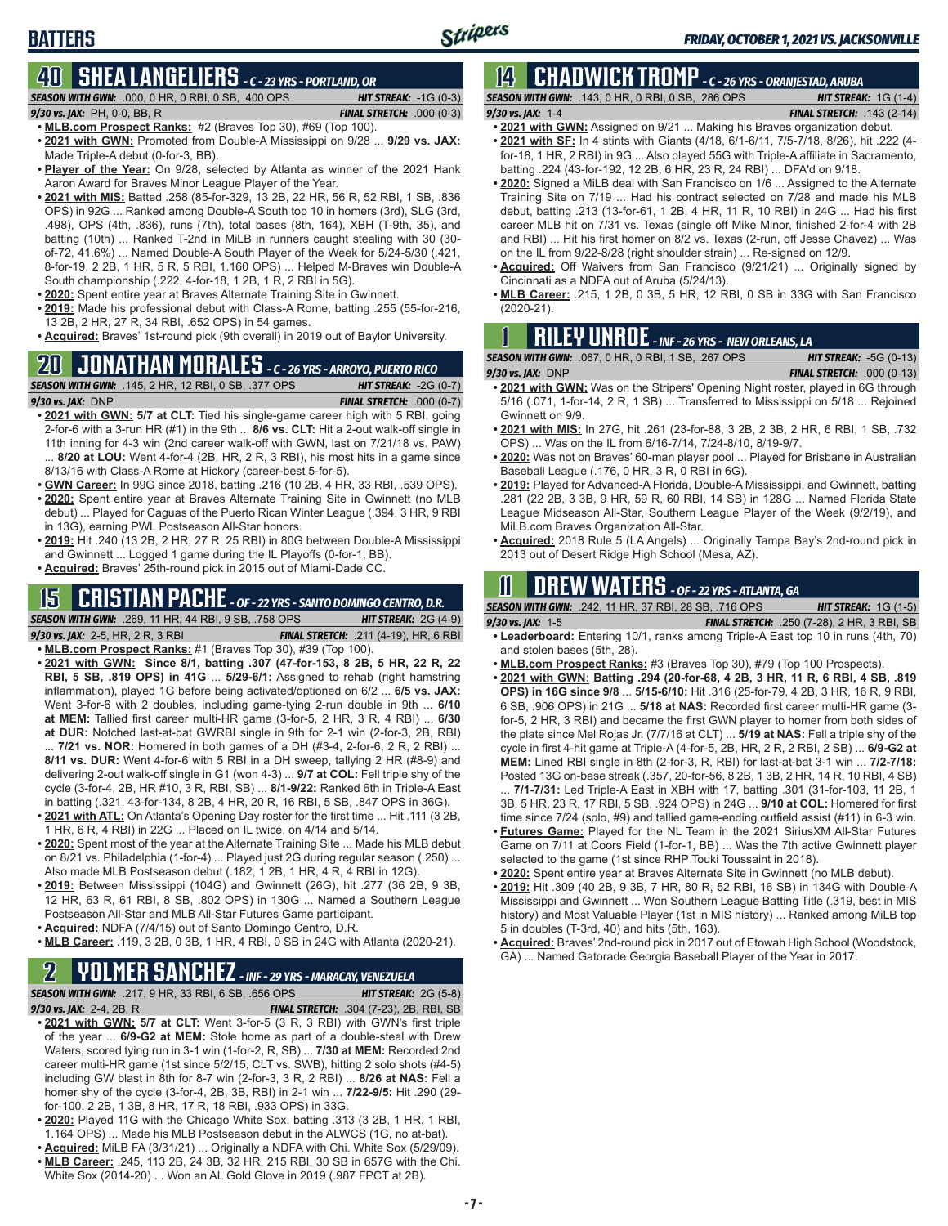# **40 SHEA LANGELIERS** *- C - 23 YRS - PORTLAND, OR*

**BATTERS**

| <b>SEASON WITH GWN: .000, 0 HR, 0 RBI, 0 SB, .400 OPS</b> | <b>HIT STREAK:</b> $-1G(0-3)$     |
|-----------------------------------------------------------|-----------------------------------|
| 9/30 vs. JAX: $PH$ , 0-0, BB, R                           | <b>FINAL STRETCH:</b> $.000(0-3)$ |

- **• MLB.com Prospect Ranks:** #2 (Braves Top 30), #69 (Top 100). **• 2021 with GWN:** Promoted from Double-A Mississippi on 9/28 ... **9/29 vs. JAX:**
- Made Triple-A debut (0-for-3, BB). **• Player of the Year:** On 9/28, selected by Atlanta as winner of the 2021 Hank Aaron Award for Braves Minor League Player of the Year.
- **• 2021 with MIS:** Batted .258 (85-for-329, 13 2B, 22 HR, 56 R, 52 RBI, 1 SB, .836 OPS) in 92G ... Ranked among Double-A South top 10 in homers (3rd), SLG (3rd, .498), OPS (4th, .836), runs (7th), total bases (8th, 164), XBH (T-9th, 35), and batting (10th) ... Ranked T-2nd in MiLB in runners caught stealing with 30 (30 of-72, 41.6%) ... Named Double-A South Player of the Week for 5/24-5/30 (.421, 8-for-19, 2 2B, 1 HR, 5 R, 5 RBI, 1.160 OPS) ... Helped M-Braves win Double-A South championship (.222, 4-for-18, 1 2B, 1 R, 2 RBI in 5G).
- **• 2020:** Spent entire year at Braves Alternate Training Site in Gwinnett.
- **• 2019:** Made his professional debut with Class-A Rome, batting .255 (55-for-216, 13 2B, 2 HR, 27 R, 34 RBI, .652 OPS) in 54 games.
- **• Acquired:** Braves' 1st-round pick (9th overall) in 2019 out of Baylor University.

# **20 JONATHAN MORALES** *- C - 26 YRS - ARROYO, PUERTO RICO*

*SEASON WITH GWN:*.145, 2 HR, 12 RBI, 0 SB, .377 OPS *HIT STREAK:* -2G (0-7)

*9/30 vs. JAX:*DNP *FINAL STRETCH:* .000 (0-7) **• 2021 with GWN: 5/7 at CLT:** Tied his single-game career high with 5 RBI, going

- 2-for-6 with a 3-run HR (#1) in the 9th ... **8/6 vs. CLT:** Hit a 2-out walk-off single in 11th inning for 4-3 win (2nd career walk-off with GWN, last on 7/21/18 vs. PAW) ... **8/20 at LOU:** Went 4-for-4 (2B, HR, 2 R, 3 RBI), his most hits in a game since 8/13/16 with Class-A Rome at Hickory (career-best 5-for-5).
- **• GWN Career:** In 99G since 2018, batting .216 (10 2B, 4 HR, 33 RBI, .539 OPS).
- **• 2020:** Spent entire year at Braves Alternate Training Site in Gwinnett (no MLB debut) ... Played for Caguas of the Puerto Rican Winter League (.394, 3 HR, 9 RBI in 13G), earning PWL Postseason All-Star honors.
- **• 2019:** Hit .240 (13 2B, 2 HR, 27 R, 25 RBI) in 80G between Double-A Mississippi and Gwinnett ... Logged 1 game during the IL Playoffs (0-for-1, BB).
- **• Acquired:** Braves' 25th-round pick in 2015 out of Miami-Dade CC.

## **15 CRISTIAN PACHE** *- OF - 22 YRS - SANTO DOMINGO CENTRO, D.R.*

*SEASON WITH GWN:*.269, 11 HR, 44 RBI, 9 SB, .758 OPS *HIT STREAK:* 2G (4-9) *9/30 vs. JAX:* 2-5, HR, 2 R, 3 RBI *FINAL STRETCH:* .211 (4-19), HR, 6 RBI

- **• MLB.com Prospect Ranks:** #1 (Braves Top 30), #39 (Top 100). **• 2021 with GWN: Since 8/1, batting .307 (47-for-153, 8 2B, 5 HR, 22 R, 22 RBI, 5 SB, .819 OPS) in 41G** ... **5/29-6/1:** Assigned to rehab (right hamstring inflammation), played 1G before being activated/optioned on 6/2 ... **6/5 vs. JAX:** Went 3-for-6 with 2 doubles, including game-tying 2-run double in 9th ... **6/10 at MEM:** Tallied first career multi-HR game (3-for-5, 2 HR, 3 R, 4 RBI) ... **6/30 at DUR:** Notched last-at-bat GWRBI single in 9th for 2-1 win (2-for-3, 2B, RBI) ... **7/21 vs. NOR:** Homered in both games of a DH (#3-4, 2-for-6, 2 R, 2 RBI) ...
- **8/11 vs. DUR:** Went 4-for-6 with 5 RBI in a DH sweep, tallying 2 HR (#8-9) and delivering 2-out walk-off single in G1 (won 4-3) ... **9/7 at COL:** Fell triple shy of the cycle (3-for-4, 2B, HR #10, 3 R, RBI, SB) ... **8/1-9/22:** Ranked 6th in Triple-A East in batting (.321, 43-for-134, 8 2B, 4 HR, 20 R, 16 RBI, 5 SB, .847 OPS in 36G).
- **• 2021 with ATL:** On Atlanta's Opening Day roster for the first time ... Hit .111 (3 2B, 1 HR, 6 R, 4 RBI) in 22G ... Placed on IL twice, on 4/14 and 5/14.
- **• 2020:** Spent most of the year at the Alternate Training Site ... Made his MLB debut on 8/21 vs. Philadelphia (1-for-4) ... Played just 2G during regular season (.250) ... Also made MLB Postseason debut (.182, 1 2B, 1 HR, 4 R, 4 RBI in 12G).
- **• 2019:** Between Mississippi (104G) and Gwinnett (26G), hit .277 (36 2B, 9 3B, 12 HR, 63 R, 61 RBI, 8 SB, .802 OPS) in 130G ... Named a Southern League Postseason All-Star and MLB All-Star Futures Game participant.
- **• Acquired:** NDFA (7/4/15) out of Santo Domingo Centro, D.R.
- **• MLB Career:** .119, 3 2B, 0 3B, 1 HR, 4 RBI, 0 SB in 24G with Atlanta (2020-21).

### **2 YOLMER SANCHEZ** *- INF - 29 YRS - MARACAY, VENEZUELA*

*SEASON WITH GWN:*.217, 9 HR, 33 RBI, 6 SB, .656 OPS *HIT STREAK:* 2G (5-8) *9/30 vs. JAX:*2-4, 2B, R *FINAL STRETCH:* .304 (7-23), 2B, RBI, SB

- **• 2021 with GWN: 5/7 at CLT:** Went 3-for-5 (3 R, 3 RBI) with GWN's first triple of the year ... **6/9-G2 at MEM:** Stole home as part of a double-steal with Drew Waters, scored tying run in 3-1 win (1-for-2, R, SB) ... **7/30 at MEM:** Recorded 2nd career multi-HR game (1st since 5/2/15, CLT vs. SWB), hitting 2 solo shots (#4-5) including GW blast in 8th for 8-7 win (2-for-3, 3 R, 2 RBI) ... **8/26 at NAS:** Fell a homer shy of the cycle (3-for-4, 2B, 3B, RBI) in 2-1 win ... **7/22-9/5:** Hit .290 (29 for-100, 2 2B, 1 3B, 8 HR, 17 R, 18 RBI, .933 OPS) in 33G.
- **• 2020:** Played 11G with the Chicago White Sox, batting .313 (3 2B, 1 HR, 1 RBI, 1.164 OPS) ... Made his MLB Postseason debut in the ALWCS (1G, no at-bat).
- **• Acquired:** MiLB FA (3/31/21) ... Originally a NDFA with Chi. White Sox (5/29/09). **• MLB Career:** .245, 113 2B, 24 3B, 32 HR, 215 RBI, 30 SB in 657G with the Chi.
- White Sox (2014-20) ... Won an AL Gold Glove in 2019 (.987 FPCT at 2B).

# **14 CHADWICK TROMP** *- C - 26 YRS - ORANJESTAD, ARUBA*

*SEASON WITH GWN:*.143, 0 HR, 0 RBI, 0 SB, .286 OPS *HIT STREAK:* 1G (1-4) *9/30 vs. JAX:*1-4 *FINAL STRETCH:* .143 (2-14)

- **• 2021 with GWN:** Assigned on 9/21 ... Making his Braves organization debut.
- **• 2021 with SF:** In 4 stints with Giants (4/18, 6/1-6/11, 7/5-7/18, 8/26), hit .222 (4 for-18, 1 HR, 2 RBI) in 9G ... Also played 55G with Triple-A affiliate in Sacramento, batting .224 (43-for-192, 12 2B, 6 HR, 23 R, 24 RBI) ... DFA'd on 9/18.
- **• 2020:** Signed a MiLB deal with San Francisco on 1/6 ... Assigned to the Alternate Training Site on 7/19 ... Had his contract selected on 7/28 and made his MLB debut, batting .213 (13-for-61, 1 2B, 4 HR, 11 R, 10 RBI) in 24G ... Had his first career MLB hit on 7/31 vs. Texas (single off Mike Minor, finished 2-for-4 with 2B and RBI) ... Hit his first homer on 8/2 vs. Texas (2-run, off Jesse Chavez) ... Was on the IL from 9/22-8/28 (right shoulder strain) ... Re-signed on 12/9.
- **• Acquired:** Off Waivers from San Francisco (9/21/21) ... Originally signed by Cincinnati as a NDFA out of Aruba (5/24/13).
- **• MLB Career:** .215, 1 2B, 0 3B, 5 HR, 12 RBI, 0 SB in 33G with San Francisco (2020-21).

## **1 RILEY UNROE** *- INF - 26 YRS - NEW ORLEANS, LA*

| <b>SEASON WITH GWN: .067, 0 HR, 0 RBI, 1 SB, .267 OPS</b> | <b>HIT STREAK: <math>-5G(0-13)</math></b> |
|-----------------------------------------------------------|-------------------------------------------|
| $9/30$ vs. JAX: DNP                                       | <b>FINAL STRETCH: .000 (0-13)</b>         |

- **• 2021 with GWN:** Was on the Stripers' Opening Night roster, played in 6G through 5/16 (.071, 1-for-14, 2 R, 1 SB) ... Transferred to Mississippi on 5/18 ... Rejoined Gwinnett on 9/9.
- **• 2021 with MIS:** In 27G, hit .261 (23-for-88, 3 2B, 2 3B, 2 HR, 6 RBI, 1 SB, .732 OPS) ... Was on the IL from 6/16-7/14, 7/24-8/10, 8/19-9/7.
- **• 2020:** Was not on Braves' 60-man player pool ... Played for Brisbane in Australian Baseball League (.176, 0 HR, 3 R, 0 RBI in 6G).
- **• 2019:** Played for Advanced-A Florida, Double-A Mississippi, and Gwinnett, batting .281 (22 2B, 3 3B, 9 HR, 59 R, 60 RBI, 14 SB) in 128G ... Named Florida State League Midseason All-Star, Southern League Player of the Week (9/2/19), and MiLB.com Braves Organization All-Star.
- **• Acquired:** 2018 Rule 5 (LA Angels) ... Originally Tampa Bay's 2nd-round pick in 2013 out of Desert Ridge High School (Mesa, AZ).

## **11 Drew WATERS** *- OF - 22 YRS - ATLANTA, GA*

*SEASON WITH GWN:*.242, 11 HR, 37 RBI, 28 SB, .716 OPS *HIT STREAK:* 1G (1-5)

*9/30 vs. JAX:*1-5 *FINAL STRETCH:* .250 (7-28), 2 HR, 3 RBI, SB **• Leaderboard:** Entering 10/1, ranks among Triple-A East top 10 in runs (4th, 70) and stolen bases (5th, 28).

- **• MLB.com Prospect Ranks:** #3 (Braves Top 30), #79 (Top 100 Prospects).
- **• 2021 with GWN: Batting .294 (20-for-68, 4 2B, 3 HR, 11 R, 6 RBI, 4 SB, .819**
- **OPS) in 16G since 9/8** ... **5/15-6/10:** Hit .316 (25-for-79, 4 2B, 3 HR, 16 R, 9 RBI, 6 SB, .906 OPS) in 21G ... **5/18 at NAS:** Recorded first career multi-HR game (3 for-5, 2 HR, 3 RBI) and became the first GWN player to homer from both sides of the plate since Mel Rojas Jr. (7/7/16 at CLT) ... **5/19 at NAS:** Fell a triple shy of the cycle in first 4-hit game at Triple-A (4-for-5, 2B, HR, 2 R, 2 RBI, 2 SB) ... **6/9-G2 at MEM:** Lined RBI single in 8th (2-for-3, R, RBI) for last-at-bat 3-1 win ... **7/2-7/18:** Posted 13G on-base streak (.357, 20-for-56, 8 2B, 1 3B, 2 HR, 14 R, 10 RBI, 4 SB)

... **7/1-7/31:** Led Triple-A East in XBH with 17, batting .301 (31-for-103, 11 2B, 1 3B, 5 HR, 23 R, 17 RBI, 5 SB, .924 OPS) in 24G ... **9/10 at COL:** Homered for first time since 7/24 (solo, #9) and tallied game-ending outfield assist (#11) in 6-3 win.

- **• Futures Game:** Played for the NL Team in the 2021 SiriusXM All-Star Futures Game on 7/11 at Coors Field (1-for-1, BB) ... Was the 7th active Gwinnett player selected to the game (1st since RHP Touki Toussaint in 2018).
- **• 2020:** Spent entire year at Braves Alternate Site in Gwinnett (no MLB debut).
- **• 2019:** Hit .309 (40 2B, 9 3B, 7 HR, 80 R, 52 RBI, 16 SB) in 134G with Double-A Mississippi and Gwinnett ... Won Southern League Batting Title (.319, best in MIS history) and Most Valuable Player (1st in MIS history) ... Ranked among MiLB top 5 in doubles (T-3rd, 40) and hits (5th, 163).
- **• Acquired:** Braves' 2nd-round pick in 2017 out of Etowah High School (Woodstock, GA) ... Named Gatorade Georgia Baseball Player of the Year in 2017.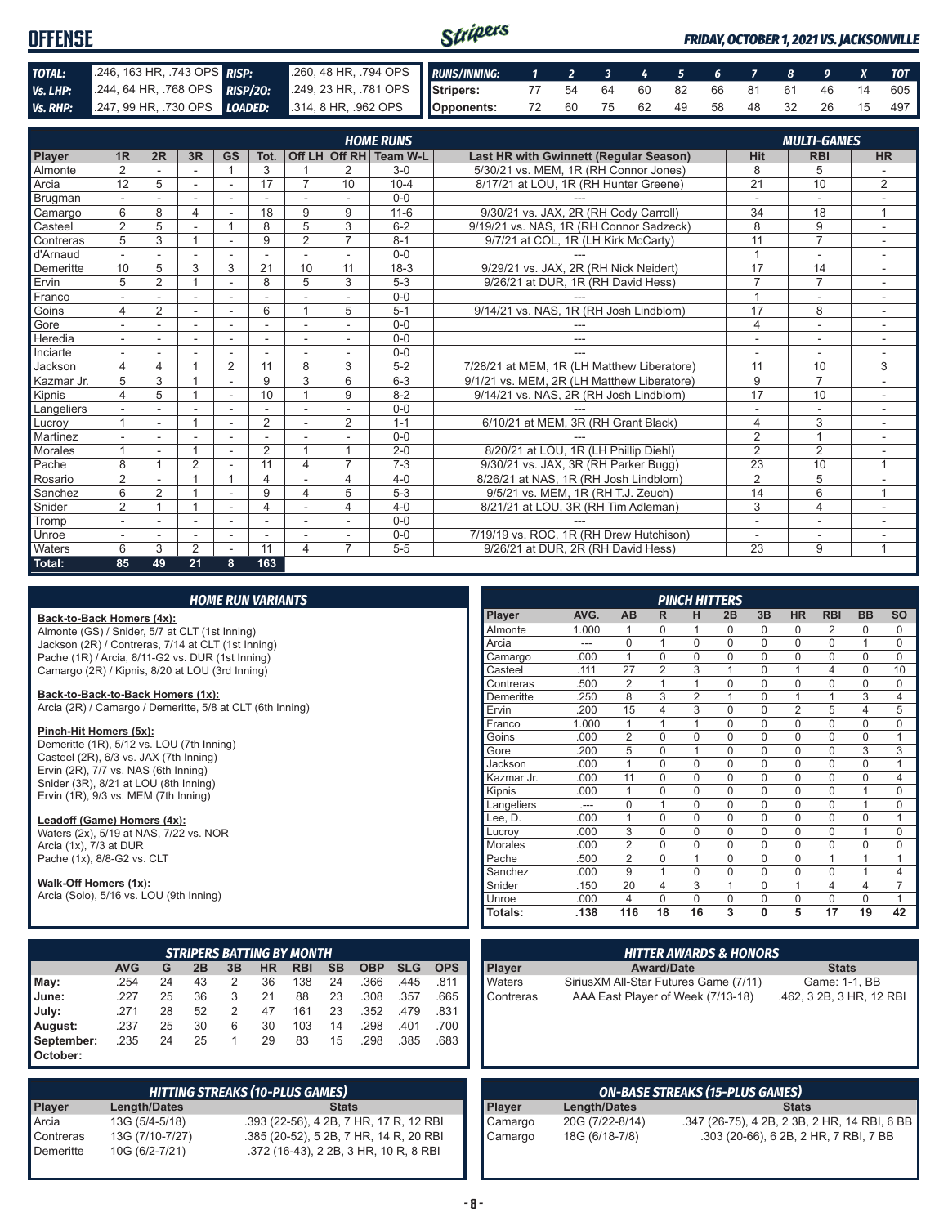| <b>OFFENSE</b> |                            |                                                                                                            | Stripers |  |  |  |  |  | <b>FRIDAY, OCTOBER 1, 2021 VS. JACKSONVILLE</b> |
|----------------|----------------------------|------------------------------------------------------------------------------------------------------------|----------|--|--|--|--|--|-------------------------------------------------|
| TOTAL:         | 246, 163 HR, 743 OPS RISP: | 260, 48 HR, 794 OPS RUNS/INNING: 1 2 3 4 5 6 7 8 9 X TOT                                                   |          |  |  |  |  |  |                                                 |
| Vs. LHP:       |                            | 244, 64 HR, 768 OPS <b>RISP/20:</b> 249, 23 HR, 781 OPS <b>Stripers:</b> 77 54 64 60 82 66 81 61 46 14 605 |          |  |  |  |  |  |                                                 |
|                |                            | VS.RHP: 247, 99 HR, 730 OPS LOADED: 314, 8 HR, 962 OPS   Opponents: 72 60 75 62 49 58 48 32 26 15 497      |          |  |  |  |  |  |                                                 |

|                 |                |                |                |                |                |                          |                          | <b>HOME RUNS</b>       |                                               |                          | <b>MULTI-GAMES</b>       |                          |  |  |
|-----------------|----------------|----------------|----------------|----------------|----------------|--------------------------|--------------------------|------------------------|-----------------------------------------------|--------------------------|--------------------------|--------------------------|--|--|
| Player          | 1 <sub>R</sub> | 2R             | 3R             | <b>GS</b>      | Tot.           |                          |                          | Off LH Off RH Team W-L | <b>Last HR with Gwinnett (Regular Season)</b> | <b>Hit</b>               | <b>RBI</b>               | <b>HR</b>                |  |  |
| Almonte         | $\overline{2}$ |                |                |                | 3              |                          | 2                        | $3-0$                  | 5/30/21 vs. MEM, 1R (RH Connor Jones)         | 8                        | 5                        |                          |  |  |
| Arcia           | 12             | 5              | ÷.             | ÷              | 17             | $\overline{7}$           | 10                       | $10 - 4$               | 8/17/21 at LOU, 1R (RH Hunter Greene)         | 21                       | 10                       | $\overline{2}$           |  |  |
| <b>Brugman</b>  |                |                |                | ÷              |                | $\sim$                   | $\overline{\phantom{a}}$ | $0 - 0$                |                                               | $\overline{a}$           | $\overline{a}$           |                          |  |  |
| Camargo         | 6              | 8              | 4              |                | 18             | 9                        | 9                        | $11 - 6$               | 9/30/21 vs. JAX, 2R (RH Cody Carroll)         | 34                       | 18                       | 1                        |  |  |
| Casteel         | $\overline{2}$ | 5              |                |                | 8              | 5                        | 3                        | $6 - 2$                | 9/19/21 vs. NAS, 1R (RH Connor Sadzeck)       | 8                        | 9                        | ٠                        |  |  |
| Contreras       | 5              | 3              |                |                | 9              | $\overline{2}$           | $\overline{7}$           | $8 - 1$                | 9/7/21 at COL, 1R (LH Kirk McCarty)           | 11                       | $\overline{7}$           |                          |  |  |
| d'Arnaud        |                |                |                | $\blacksquare$ |                |                          |                          | $0 - 0$                |                                               | $\overline{1}$           | $\overline{\phantom{a}}$ |                          |  |  |
| Demeritte       | 10             | 5              | 3              | 3              | 21             | 10                       | 11                       | $18-3$                 | 9/29/21 vs. JAX, 2R (RH Nick Neidert)         | 17                       | 14                       | $\overline{\phantom{a}}$ |  |  |
| Ervin           | 5              | $\overline{2}$ |                | $\overline{a}$ | 8              | 5                        | 3                        | $5 - 3$                | 9/26/21 at DUR, 1R (RH David Hess)            | $\overline{7}$           | $\overline{7}$           |                          |  |  |
| Franco          |                |                |                |                |                |                          |                          | $0 - 0$                |                                               | $\overline{ }$           | ۰                        |                          |  |  |
| Goins           | 4              | 2              | ÷              | ÷              | 6              | $\overline{A}$           | 5                        | $5 - 1$                | 9/14/21 vs. NAS, 1R (RH Josh Lindblom)        | 17                       | 8                        | $\sim$                   |  |  |
| Gore            |                |                | -              |                |                | $\overline{\phantom{a}}$ |                          | $0 - 0$                |                                               | $\overline{4}$           | ۰                        |                          |  |  |
| Heredia         |                |                | ٠              | ٠              | ٠              | $\blacksquare$           | ۰                        | $0 - 0$                | ---                                           | $\overline{\phantom{a}}$ | $\overline{\phantom{a}}$ |                          |  |  |
| Inciarte        |                |                |                |                |                |                          |                          | $0 - 0$                | ---                                           |                          | ٠                        |                          |  |  |
| Jackson         | 4              | 4              |                | 2              | 11             | 8                        | 3                        | $5 - 2$                | 7/28/21 at MEM, 1R (LH Matthew Liberatore)    | 11                       | 10                       | 3                        |  |  |
| Kazmar Jr.      | 5              | 3              |                |                | 9              | 3                        | 6                        | $6 - 3$                | 9/1/21 vs. MEM. 2R (LH Matthew Liberatore)    | 9                        | $\overline{7}$           |                          |  |  |
| Kipnis          | 4              | 5              |                |                | 10             | $\overline{A}$           | 9                        | $8 - 2$                | 9/14/21 vs. NAS, 2R (RH Josh Lindblom)        | $\overline{17}$          | 10                       |                          |  |  |
| Langeliers      |                |                |                |                |                |                          |                          | $0 - 0$                |                                               |                          |                          |                          |  |  |
| Lucroy          |                | ٠              |                | $\blacksquare$ | 2              | ٠                        | $\overline{2}$           | $1 - 1$                | 6/10/21 at MEM, 3R (RH Grant Black)           | $\overline{4}$           | 3                        | $\overline{\phantom{a}}$ |  |  |
| <b>Martinez</b> |                |                |                | ٠              |                |                          |                          | $0 - 0$                |                                               | $\overline{2}$           | $\overline{1}$           |                          |  |  |
| <b>Morales</b>  |                |                |                |                | $\overline{2}$ | $\overline{A}$           | $\overline{1}$           | $2 - 0$                | 8/20/21 at LOU, 1R (LH Phillip Diehl)         | $\overline{2}$           | $\overline{2}$           |                          |  |  |
| Pache           | 8              |                | $\overline{2}$ | $\sim$         | 11             | 4                        | $\overline{7}$           | $7-3$                  | 9/30/21 vs. JAX, 3R (RH Parker Bugg)          | $\overline{23}$          | 10                       | $\overline{ }$           |  |  |
| Rosario         | $\overline{2}$ |                |                |                | 4              |                          | 4                        | $4 - 0$                | 8/26/21 at NAS, 1R (RH Josh Lindblom)         | 2                        | 5                        |                          |  |  |
| Sanchez         | 6              | $\overline{2}$ |                |                | 9              | 4                        | 5                        | $5-3$                  | 9/5/21 vs. MEM, 1R (RH T.J. Zeuch)            | 14                       | 6                        | 1                        |  |  |
| Snider          | $\overline{2}$ |                |                | $\overline{a}$ | 4              | ٠                        | 4                        | $4 - 0$                | 8/21/21 at LOU, 3R (RH Tim Adleman)           | 3                        | $\overline{4}$           | ٠                        |  |  |
| Tromp           |                |                | ۰              | ٠              | ٠              |                          |                          | $0 - 0$                |                                               | ۰                        | ۰                        |                          |  |  |
| Unroe           |                |                |                |                |                |                          |                          | $0 - 0$                | 7/19/19 vs. ROC, 1R (RH Drew Hutchison)       |                          | ۰                        |                          |  |  |
| Waters          | 6              | 3              | 2              |                | 11             | 4                        | $\overline{7}$           | $5 - 5$                | 9/26/21 at DUR. 2R (RH David Hess)            | $\overline{23}$          | 9                        | $\overline{1}$           |  |  |
| Total:          | 85             | 49             | 21             | 8              | 163            |                          |                          |                        |                                               |                          |                          |                          |  |  |

#### *HOME RUN VARIANTS*

#### **Back-to-Back Homers (4x):**

Almonte (GS) / Snider, 5/7 at CLT (1st Inning) Jackson (2R) / Contreras, 7/14 at CLT (1st Inning) Pache (1R) / Arcia, 8/11-G2 vs. DUR (1st Inning) Camargo (2R) / Kipnis, 8/20 at LOU (3rd Inning)

#### **Back-to-Back-to-Back Homers (1x):**

Arcia (2R) / Camargo / Demeritte, 5/8 at CLT (6th Inning)

#### **Pinch-Hit Homers (5x):**

Demeritte (1R), 5/12 vs. LOU (7th Inning) Casteel (2R), 6/3 vs. JAX (7th Inning) Ervin (2R), 7/7 vs. NAS (6th Inning) Snider (3R), 8/21 at LOU (8th Inning) Ervin (1R), 9/3 vs. MEM (7th Inning)

#### **Leadoff (Game) Homers (4x):**

Waters (2x), 5/19 at NAS, 7/22 vs. NOR Arcia (1x), 7/3 at DUR Pache (1x), 8/8-G2 vs. CLT

#### **Walk-Off Homers (1x):**

Arcia (Solo), 5/16 vs. LOU (9th Inning)

|                     | <b>STRIPERS BATTING BY MONTH</b>                                                                |    |    |   |    |     |    |      |      |      |  |  |  |  |  |
|---------------------|-------------------------------------------------------------------------------------------------|----|----|---|----|-----|----|------|------|------|--|--|--|--|--|
|                     | <b>AVG</b><br><b>SB</b><br><b>SLG</b><br><b>OPS</b><br>2B<br>HR<br>RBI<br><b>OBP</b><br>G<br>3B |    |    |   |    |     |    |      |      |      |  |  |  |  |  |
| $\blacksquare$ May: | .254                                                                                            | 24 | 43 | 2 | 36 | 138 | 24 | .366 | .445 | .811 |  |  |  |  |  |
| <b>June:</b>        | .227                                                                                            | 25 | 36 | 3 | 21 | 88  | 23 | .308 | .357 | .665 |  |  |  |  |  |
| July:               | .271                                                                                            | 28 | 52 | 2 | 47 | 161 | 23 | .352 | .479 | .831 |  |  |  |  |  |
| August:             | .237                                                                                            | 25 | 30 | 6 | 30 | 103 | 14 | .298 | .401 | .700 |  |  |  |  |  |
| September:          | .235                                                                                            | 24 | 25 |   | 29 | 83  | 15 | .298 | .385 | .683 |  |  |  |  |  |
| <b>October:</b>     |                                                                                                 |    |    |   |    |     |    |      |      |      |  |  |  |  |  |

| <b>HITTING STREAKS (10-PLUS GAMES)</b> |                     |                                        |  |  |  |  |  |  |  |  |  |
|----------------------------------------|---------------------|----------------------------------------|--|--|--|--|--|--|--|--|--|
| <b>Player</b>                          | <b>Length/Dates</b> | <b>Stats</b>                           |  |  |  |  |  |  |  |  |  |
| Arcia                                  | 13G (5/4-5/18)      | .393 (22-56), 4 2B, 7 HR, 17 R, 12 RBI |  |  |  |  |  |  |  |  |  |
| Contreras                              | 13G (7/10-7/27)     | .385 (20-52), 5 2B, 7 HR, 14 R, 20 RBI |  |  |  |  |  |  |  |  |  |
| Demeritte                              | 10G (6/2-7/21)      | .372 (16-43), 2 2B, 3 HR, 10 R, 8 RBI  |  |  |  |  |  |  |  |  |  |

|                |       |                |                | <b>PINCH HITTERS</b> |             |              |                |                |                |                |
|----------------|-------|----------------|----------------|----------------------|-------------|--------------|----------------|----------------|----------------|----------------|
| Player         | AVG.  | <b>AB</b>      | R              | н                    | 2B          | 3B           | <b>HR</b>      | <b>RBI</b>     | <b>BB</b>      | <b>SO</b>      |
| Almonte        | 1.000 | 1              | 0              | 1                    | $\Omega$    | $\Omega$     | $\Omega$       | 2              | 0              | $\Omega$       |
| Arcia          | ---   | $\mathbf 0$    | 1              | $\mathbf 0$          | $\Omega$    | $\mathbf 0$  | $\mathbf 0$    | $\mathbf 0$    | 1              | 0              |
| Camargo        | .000  | 1              | $\Omega$       | $\mathbf 0$          | $\Omega$    | $\mathbf 0$  | $\mathbf 0$    | $\mathbf 0$    | 0              | 0              |
| Casteel        | .111  | 27             | $\overline{2}$ | 3                    | 1           | $\mathbf 0$  | 1              | 4              | 0              | 10             |
| Contreras      | .500  | $\overline{2}$ | 1              | 1                    | 0           | 0            | $\mathbf 0$    | $\mathbf 0$    | 0              | 0              |
| Demeritte      | .250  | 8              | 3              | $\overline{2}$       | 1           | $\Omega$     | 1              | 1              | 3              | 4              |
| Ervin          | .200  | 15             | 4              | 3                    | $\Omega$    | $\mathbf 0$  | $\overline{2}$ | 5              | 4              | 5              |
| Franco         | 1.000 | 1              | 1              | 1                    | $\Omega$    | $\Omega$     | $\mathbf 0$    | $\mathbf 0$    | 0              | 0              |
| Goins          | .000  | $\overline{2}$ | $\mathbf 0$    | $\mathbf 0$          | 0           | $\mathbf 0$  | $\mathbf 0$    | $\mathbf 0$    | 0              | 1              |
| Gore           | .200  | 5              | $\mathbf 0$    | 1                    | $\mathbf 0$ | $\mathbf 0$  | $\mathbf 0$    | $\mathbf 0$    | 3              | 3              |
| Jackson        | .000  | 1              | $\Omega$       | $\Omega$             | $\Omega$    | $\Omega$     | $\Omega$       | $\mathbf 0$    | 0              | 1              |
| Kazmar Jr.     | .000  | 11             | $\mathbf 0$    | $\mathbf 0$          | 0           | $\mathbf 0$  | $\mathbf 0$    | $\mathbf 0$    | 0              | 4              |
| Kipnis         | .000  | 1              | $\mathbf 0$    | $\mathbf 0$          | $\Omega$    | $\mathbf 0$  | $\mathbf 0$    | $\mathbf 0$    | 1              | 0              |
| Langeliers     |       | $\mathbf 0$    | 1              | $\mathbf 0$          | $\mathbf 0$ | $\mathbf 0$  | $\mathbf 0$    | $\mathbf 0$    | 1              | 0              |
| Lee, D.        | .000  | 1              | 0              | $\mathbf 0$          | 0           | 0            | $\mathbf 0$    | $\mathbf 0$    | 0              | 1              |
| Lucroy         | .000  | 3              | $\Omega$       | $\Omega$             | $\Omega$    | $\Omega$     | $\mathbf 0$    | $\mathbf 0$    | 1              | 0              |
| <b>Morales</b> | .000  | $\overline{2}$ | $\Omega$       | $\mathbf 0$          | $\Omega$    | $\Omega$     | $\mathbf 0$    | $\mathbf 0$    | 0              | 0              |
| Pache          | .500  | $\overline{2}$ | $\mathbf 0$    | 1                    | $\Omega$    | $\mathbf 0$  | $\mathbf 0$    | 1              | 1              | 1              |
| Sanchez        | .000  | 9              | 1              | $\mathbf 0$          | $\mathbf 0$ | $\mathbf 0$  | $\mathbf 0$    | $\mathbf 0$    | 1              | 4              |
| Snider         | .150  | 20             | 4              | 3                    | 1           | 0            | 1              | $\overline{4}$ | $\overline{4}$ | $\overline{7}$ |
| Unroe          | .000  | $\overline{4}$ | $\Omega$       | $\Omega$             | $\Omega$    | $\Omega$     | $\Omega$       | $\Omega$       | $\Omega$       | 1              |
| Totals:        | .138  | 116            | 18             | 16                   | 3           | $\mathbf{0}$ | 5              | 17             | 19             | 42             |

| <b>HITTER AWARDS &amp; HONORS</b> |                                        |                          |
|-----------------------------------|----------------------------------------|--------------------------|
| <b>Player</b>                     | <b>Award/Date</b>                      | <b>Stats</b>             |
| Waters                            | Sirius XM All-Star Futures Game (7/11) | Game: 1-1, BB            |
| Contreras                         | AAA East Player of Week (7/13-18)      | .462, 3 2B, 3 HR, 12 RBI |

| <b>ON-BASE STREAKS (15-PLUS GAMES)</b> |                 |                                              |
|----------------------------------------|-----------------|----------------------------------------------|
| <b>Player</b>                          | Length/Dates    | <b>Stats</b>                                 |
| Camargo                                | 20G (7/22-8/14) | .347 (26-75), 4 2B, 2 3B, 2 HR, 14 RBI, 6 BB |
| Camargo                                | 18G (6/18-7/8)  | .303 (20-66), 6 2B, 2 HR, 7 RBI, 7 BB        |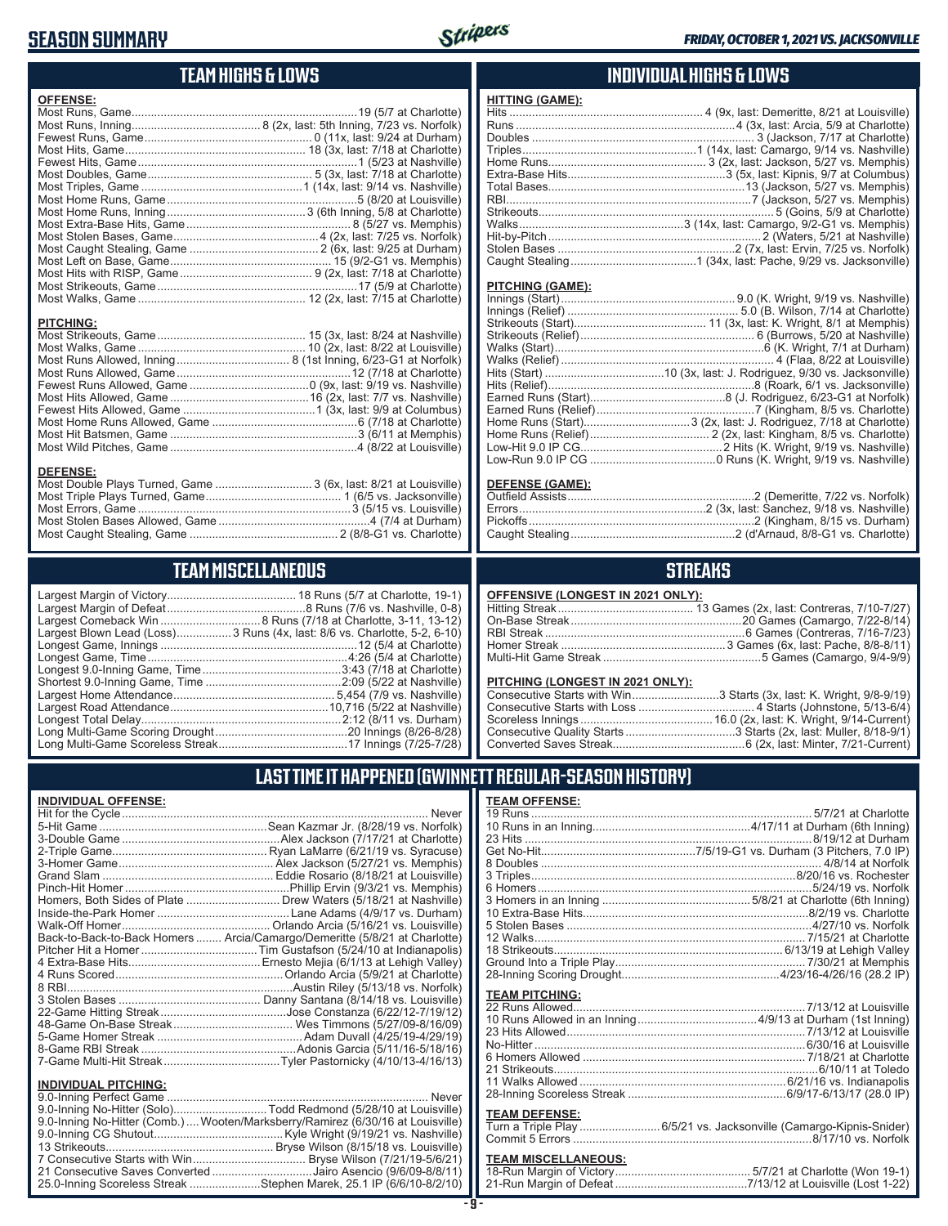## **SEASON SUMMARY**



## **TEAM HIGHS & LOWS**

| <b>OFFENSE:</b>  |                                                                  |
|------------------|------------------------------------------------------------------|
|                  |                                                                  |
|                  |                                                                  |
|                  |                                                                  |
|                  |                                                                  |
|                  |                                                                  |
|                  |                                                                  |
|                  |                                                                  |
|                  |                                                                  |
|                  |                                                                  |
|                  |                                                                  |
|                  |                                                                  |
|                  |                                                                  |
|                  |                                                                  |
| <b>PITCHING:</b> |                                                                  |
|                  |                                                                  |
|                  |                                                                  |
|                  |                                                                  |
|                  |                                                                  |
|                  |                                                                  |
|                  |                                                                  |
|                  |                                                                  |
|                  |                                                                  |
|                  |                                                                  |
|                  |                                                                  |
| <b>DEFENSE:</b>  |                                                                  |
|                  | Most Double Plays Turned, Game  3 (6x, last: 8/21 at Louisville) |

#### Most Stolen Bases Allowed, Game ...............................................4 (7/4 at Durham) Most Caught Stealing, Game .............................................. 2 (8/8-G1 vs. Charlotte)

Most Triple Plays Turned, Game .......................................... 1 (6/5 vs. Jacksonville) Most Errors, Game ..................................................................3 (5/15 vs. Louisville)

### **TEAM MISCELLANEOUS**

| Largest Blown Lead (Loss)3 Runs (4x, last: 8/6 vs. Charlotte, 5-2, 6-10) |
|--------------------------------------------------------------------------|
|                                                                          |
|                                                                          |
|                                                                          |
|                                                                          |
|                                                                          |
|                                                                          |
|                                                                          |
|                                                                          |
|                                                                          |

### **INDIVIDUAL HIGHS & LOWS**

| <b>HITTING (GAME):</b> |  |
|------------------------|--|
|                        |  |
|                        |  |
|                        |  |
|                        |  |
|                        |  |
|                        |  |
|                        |  |
|                        |  |
|                        |  |
|                        |  |
|                        |  |
|                        |  |
|                        |  |
|                        |  |

#### **PITCHING (GAME):**

#### **DEFENSE (GAME):**

### **STREAKS**

#### **OFFENSIVE (LONGEST IN 2021 ONLY):**

#### **PITCHING (LONGEST IN 2021 ONLY):**

| Consecutive Starts with Win3 Starts (3x, last: K. Wright, 9/8-9/19) |
|---------------------------------------------------------------------|
|                                                                     |
|                                                                     |
|                                                                     |
|                                                                     |

### **LAST TIME IT HAPPENED (GWINNETT REGULAR-SEASON HISTORY)**

#### **INDIVIDUAL OFFENSE:**

|                                                        | Homers, Both Sides of Plate  Drew Waters (5/18/21 at Nashville)            |
|--------------------------------------------------------|----------------------------------------------------------------------------|
|                                                        |                                                                            |
|                                                        |                                                                            |
|                                                        | Back-to-Back-to-Back Homers  Arcia/Camargo/Demeritte (5/8/21 at Charlotte) |
|                                                        |                                                                            |
|                                                        |                                                                            |
|                                                        |                                                                            |
|                                                        |                                                                            |
|                                                        |                                                                            |
|                                                        |                                                                            |
|                                                        |                                                                            |
|                                                        |                                                                            |
|                                                        |                                                                            |
|                                                        |                                                                            |
|                                                        |                                                                            |
| <b>INDIVIDUAL PITCHING:</b><br>0.0 Inning Dorfoot Camp | Nover                                                                      |
|                                                        |                                                                            |

| 9.0-Inning No-Hitter (Solo)Todd Redmond (5/28/10 at Louisville)                |  |
|--------------------------------------------------------------------------------|--|
| 9.0-Inning No-Hitter (Comb.) Wooten/Marksberry/Ramirez (6/30/16 at Louisville) |  |
|                                                                                |  |
|                                                                                |  |
|                                                                                |  |
| 21 Consecutive Saves Converted Jairo Asencio (9/6/09-8/8/11)                   |  |
| 25.0-Inning Scoreless Streak Stephen Marek, 25.1 IP (6/6/10-8/2/10)            |  |

#### **TEAM OFFENSE:**

| <u>I EAM UFFENSE.</u>      |                                                                     |
|----------------------------|---------------------------------------------------------------------|
|                            |                                                                     |
|                            |                                                                     |
|                            |                                                                     |
|                            |                                                                     |
|                            |                                                                     |
|                            |                                                                     |
|                            |                                                                     |
|                            |                                                                     |
|                            |                                                                     |
|                            |                                                                     |
|                            |                                                                     |
|                            |                                                                     |
|                            |                                                                     |
|                            |                                                                     |
| <b>TEAM PITCHING:</b>      |                                                                     |
|                            |                                                                     |
|                            |                                                                     |
|                            |                                                                     |
|                            |                                                                     |
|                            |                                                                     |
|                            |                                                                     |
|                            |                                                                     |
|                            |                                                                     |
|                            |                                                                     |
| <b>TEAM DEFENSE:</b>       |                                                                     |
|                            | Turn a Triple Play  6/5/21 vs. Jacksonville (Camargo-Kipnis-Snider) |
|                            |                                                                     |
| <b>TEAM MICCELLANEOUS.</b> |                                                                     |
|                            |                                                                     |

### **TEAM MISCELLANEOUS:**

| 21-Run Margin of Defeat…………………………………7/13/12 at Louisville (Lost 1-22) |  |
|-----------------------------------------------------------------------|--|